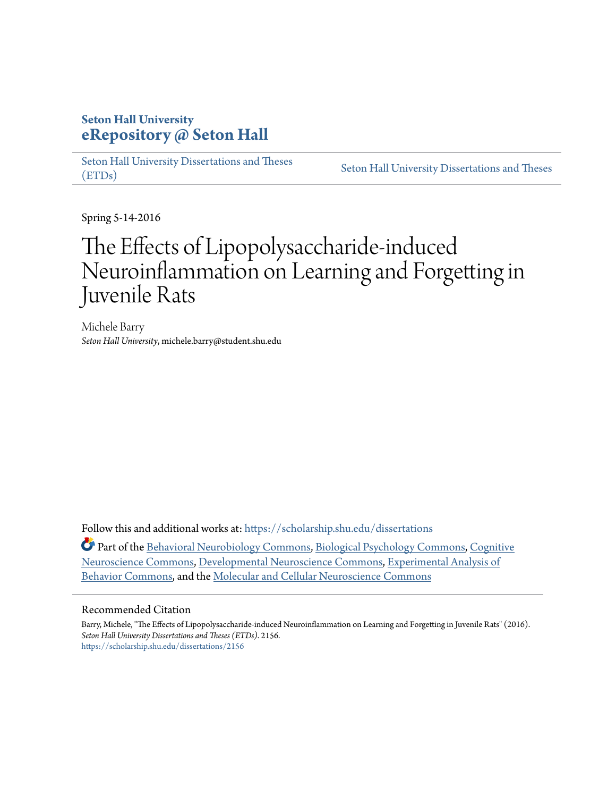## **Seton Hall University [eRepository @ Seton Hall](https://scholarship.shu.edu?utm_source=scholarship.shu.edu%2Fdissertations%2F2156&utm_medium=PDF&utm_campaign=PDFCoverPages)**

[Seton Hall University Dissertations and Theses](https://scholarship.shu.edu/dissertations?utm_source=scholarship.shu.edu%2Fdissertations%2F2156&utm_medium=PDF&utm_campaign=PDFCoverPages) [\(ETDs\)](https://scholarship.shu.edu/dissertations?utm_source=scholarship.shu.edu%2Fdissertations%2F2156&utm_medium=PDF&utm_campaign=PDFCoverPages)

[Seton Hall University Dissertations and Theses](https://scholarship.shu.edu/etds?utm_source=scholarship.shu.edu%2Fdissertations%2F2156&utm_medium=PDF&utm_campaign=PDFCoverPages)

Spring 5-14-2016

# The Effects of Lipopolysaccharide-induced Neuroinflammation on Learning and Forgetting in Juvenile Rats

Michele Barry *Seton Hall University*, michele.barry@student.shu.edu

Follow this and additional works at: [https://scholarship.shu.edu/dissertations](https://scholarship.shu.edu/dissertations?utm_source=scholarship.shu.edu%2Fdissertations%2F2156&utm_medium=PDF&utm_campaign=PDFCoverPages)

Part of the [Behavioral Neurobiology Commons,](http://network.bepress.com/hgg/discipline/56?utm_source=scholarship.shu.edu%2Fdissertations%2F2156&utm_medium=PDF&utm_campaign=PDFCoverPages) [Biological Psychology Commons](http://network.bepress.com/hgg/discipline/405?utm_source=scholarship.shu.edu%2Fdissertations%2F2156&utm_medium=PDF&utm_campaign=PDFCoverPages), [Cognitive](http://network.bepress.com/hgg/discipline/57?utm_source=scholarship.shu.edu%2Fdissertations%2F2156&utm_medium=PDF&utm_campaign=PDFCoverPages) [Neuroscience Commons,](http://network.bepress.com/hgg/discipline/57?utm_source=scholarship.shu.edu%2Fdissertations%2F2156&utm_medium=PDF&utm_campaign=PDFCoverPages) [Developmental Neuroscience Commons](http://network.bepress.com/hgg/discipline/59?utm_source=scholarship.shu.edu%2Fdissertations%2F2156&utm_medium=PDF&utm_campaign=PDFCoverPages), [Experimental Analysis of](http://network.bepress.com/hgg/discipline/1236?utm_source=scholarship.shu.edu%2Fdissertations%2F2156&utm_medium=PDF&utm_campaign=PDFCoverPages) [Behavior Commons](http://network.bepress.com/hgg/discipline/1236?utm_source=scholarship.shu.edu%2Fdissertations%2F2156&utm_medium=PDF&utm_campaign=PDFCoverPages), and the [Molecular and Cellular Neuroscience Commons](http://network.bepress.com/hgg/discipline/60?utm_source=scholarship.shu.edu%2Fdissertations%2F2156&utm_medium=PDF&utm_campaign=PDFCoverPages)

#### Recommended Citation

Barry, Michele, "The Effects of Lipopolysaccharide-induced Neuroinflammation on Learning and Forgetting in Juvenile Rats" (2016). *Seton Hall University Dissertations and Theses (ETDs)*. 2156. [https://scholarship.shu.edu/dissertations/2156](https://scholarship.shu.edu/dissertations/2156?utm_source=scholarship.shu.edu%2Fdissertations%2F2156&utm_medium=PDF&utm_campaign=PDFCoverPages)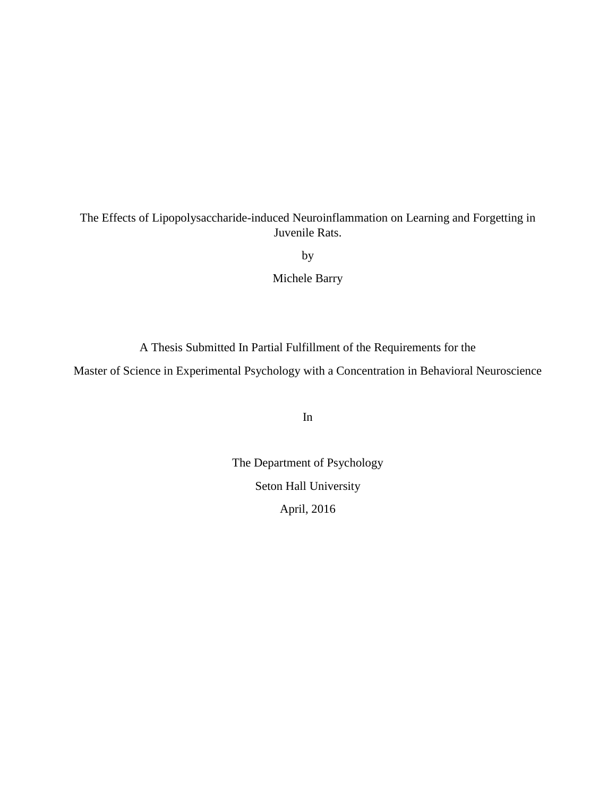The Effects of Lipopolysaccharide-induced Neuroinflammation on Learning and Forgetting in Juvenile Rats.

by

Michele Barry

A Thesis Submitted In Partial Fulfillment of the Requirements for the

Master of Science in Experimental Psychology with a Concentration in Behavioral Neuroscience

In

The Department of Psychology Seton Hall University April, 2016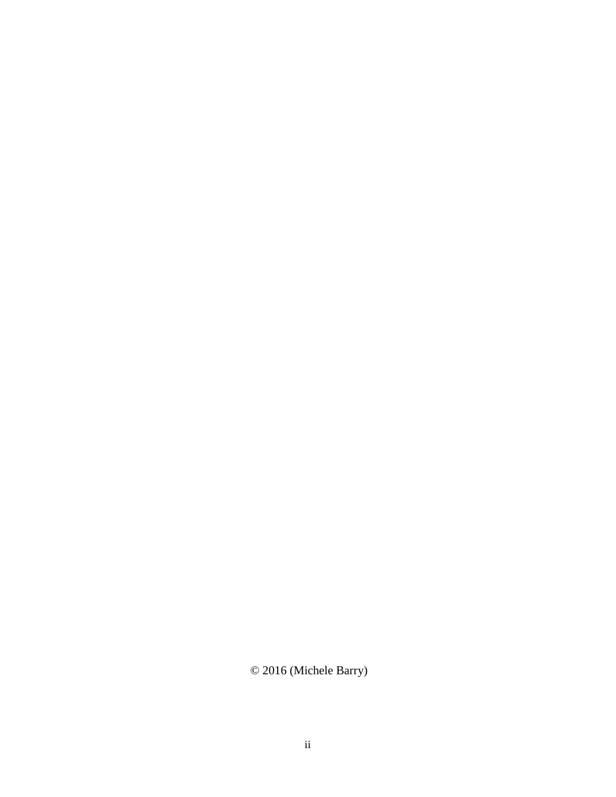© 2016 (Michele Barry)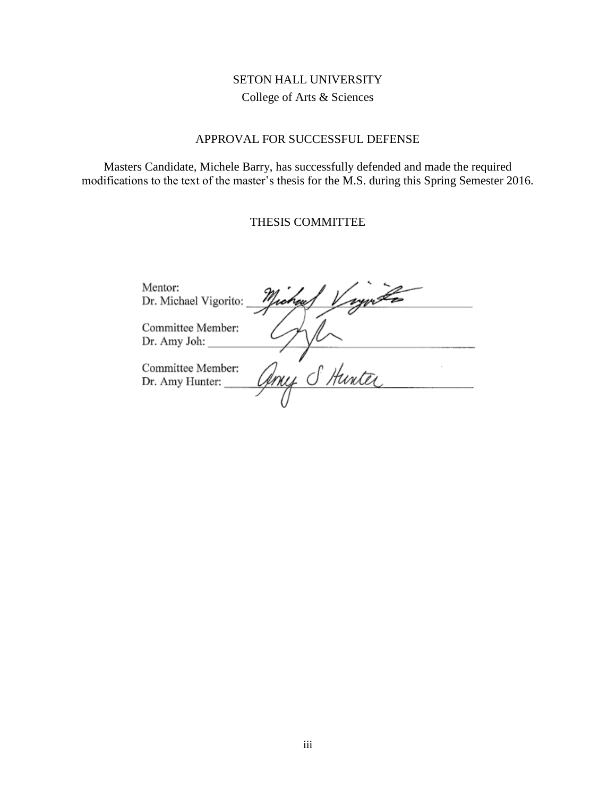### SETON HALL UNIVERSITY College of Arts & Sciences

#### APPROVAL FOR SUCCESSFUL DEFENSE

<span id="page-3-0"></span>Masters Candidate, Michele Barry, has successfully defended and made the required modifications to the text of the master's thesis for the M.S. during this Spring Semester 2016.

#### THESIS COMMITTEE

Mentor: Dr. Michael Vigorito: 'ic reu Committee Member: Dr. Amy Joh: my S Hunter Committee Member: Dr. Amy Hunter: $\_$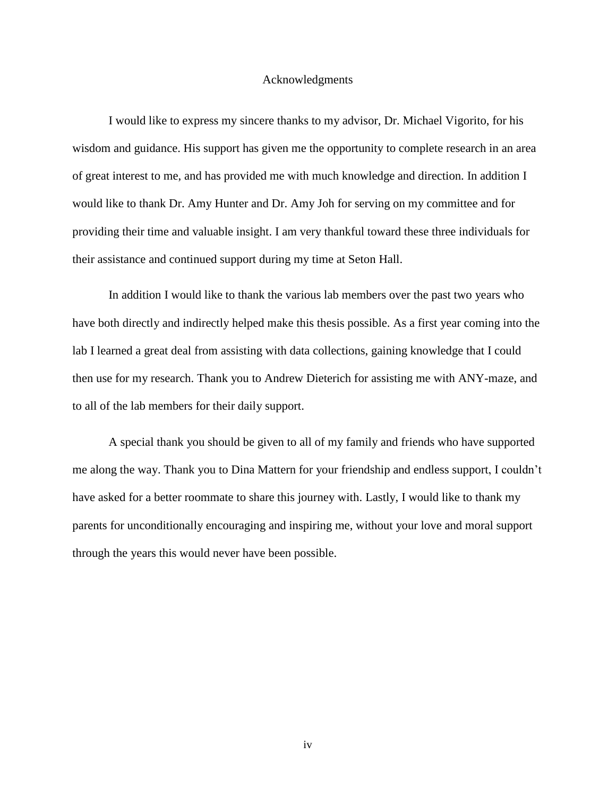#### Acknowledgments

<span id="page-4-0"></span>I would like to express my sincere thanks to my advisor, Dr. Michael Vigorito, for his wisdom and guidance. His support has given me the opportunity to complete research in an area of great interest to me, and has provided me with much knowledge and direction. In addition I would like to thank Dr. Amy Hunter and Dr. Amy Joh for serving on my committee and for providing their time and valuable insight. I am very thankful toward these three individuals for their assistance and continued support during my time at Seton Hall.

In addition I would like to thank the various lab members over the past two years who have both directly and indirectly helped make this thesis possible. As a first year coming into the lab I learned a great deal from assisting with data collections, gaining knowledge that I could then use for my research. Thank you to Andrew Dieterich for assisting me with ANY-maze, and to all of the lab members for their daily support.

A special thank you should be given to all of my family and friends who have supported me along the way. Thank you to Dina Mattern for your friendship and endless support, I couldn't have asked for a better roommate to share this journey with. Lastly, I would like to thank my parents for unconditionally encouraging and inspiring me, without your love and moral support through the years this would never have been possible.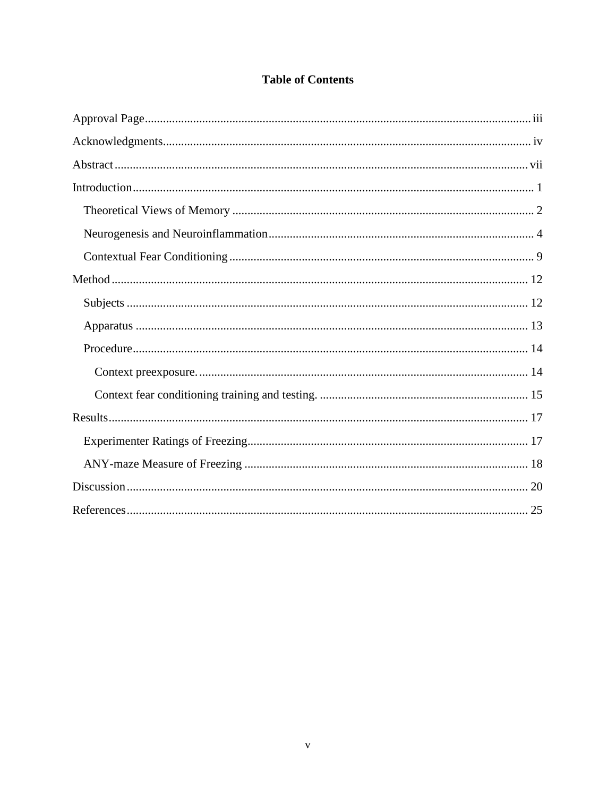### **Table of Contents**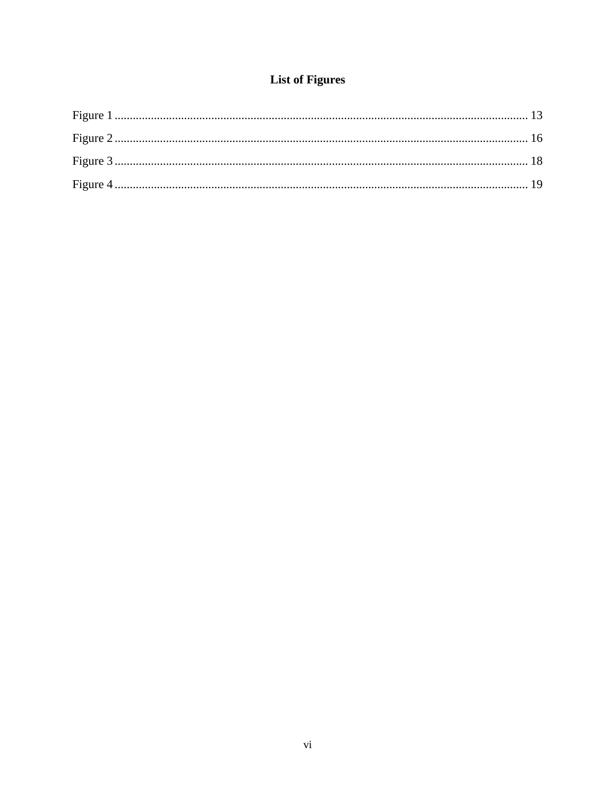# **List of Figures**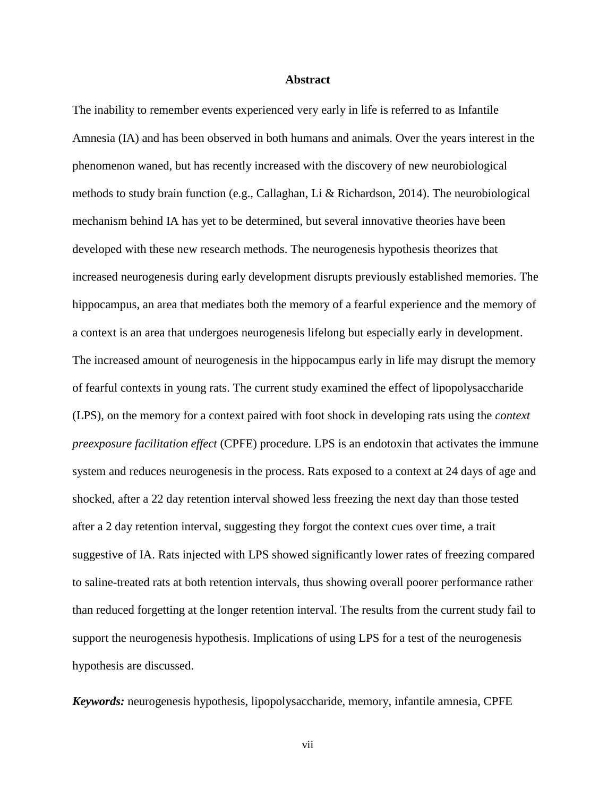#### **Abstract**

<span id="page-7-0"></span>The inability to remember events experienced very early in life is referred to as Infantile Amnesia (IA) and has been observed in both humans and animals. Over the years interest in the phenomenon waned, but has recently increased with the discovery of new neurobiological methods to study brain function (e.g., Callaghan, Li & Richardson, 2014). The neurobiological mechanism behind IA has yet to be determined, but several innovative theories have been developed with these new research methods. The neurogenesis hypothesis theorizes that increased neurogenesis during early development disrupts previously established memories. The hippocampus, an area that mediates both the memory of a fearful experience and the memory of a context is an area that undergoes neurogenesis lifelong but especially early in development. The increased amount of neurogenesis in the hippocampus early in life may disrupt the memory of fearful contexts in young rats. The current study examined the effect of lipopolysaccharide (LPS), on the memory for a context paired with foot shock in developing rats using the *context preexposure facilitation effect* (CPFE) procedure. LPS is an endotoxin that activates the immune system and reduces neurogenesis in the process. Rats exposed to a context at 24 days of age and shocked, after a 22 day retention interval showed less freezing the next day than those tested after a 2 day retention interval, suggesting they forgot the context cues over time, a trait suggestive of IA. Rats injected with LPS showed significantly lower rates of freezing compared to saline-treated rats at both retention intervals, thus showing overall poorer performance rather than reduced forgetting at the longer retention interval. The results from the current study fail to support the neurogenesis hypothesis. Implications of using LPS for a test of the neurogenesis hypothesis are discussed.

*Keywords:* neurogenesis hypothesis, lipopolysaccharide, memory, infantile amnesia, CPFE

vii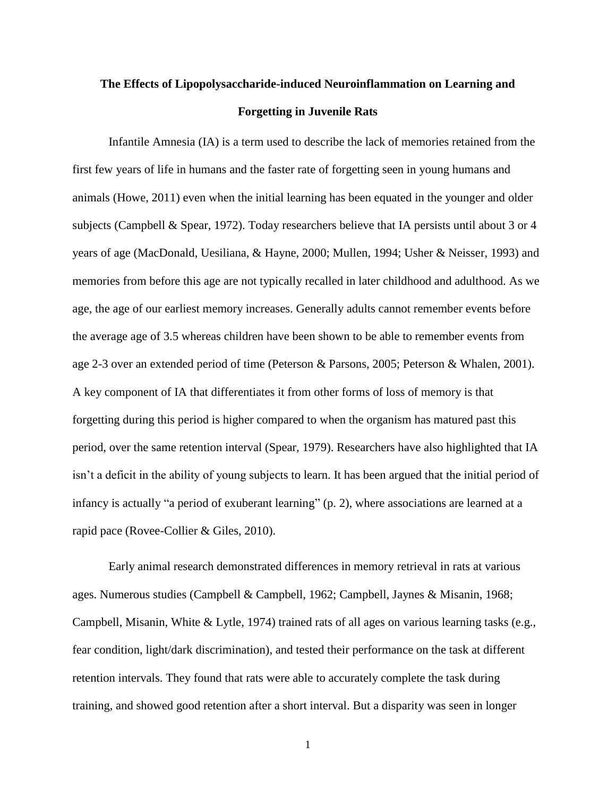# <span id="page-8-0"></span>**The Effects of Lipopolysaccharide-induced Neuroinflammation on Learning and Forgetting in Juvenile Rats**

Infantile Amnesia (IA) is a term used to describe the lack of memories retained from the first few years of life in humans and the faster rate of forgetting seen in young humans and animals (Howe, 2011) even when the initial learning has been equated in the younger and older subjects (Campbell & Spear, 1972). Today researchers believe that IA persists until about 3 or 4 years of age (MacDonald, Uesiliana, & Hayne, 2000; Mullen, 1994; Usher & Neisser, 1993) and memories from before this age are not typically recalled in later childhood and adulthood. As we age, the age of our earliest memory increases. Generally adults cannot remember events before the average age of 3.5 whereas children have been shown to be able to remember events from age 2-3 over an extended period of time (Peterson & Parsons, 2005; Peterson & Whalen, 2001). A key component of IA that differentiates it from other forms of loss of memory is that forgetting during this period is higher compared to when the organism has matured past this period, over the same retention interval (Spear, 1979). Researchers have also highlighted that IA isn't a deficit in the ability of young subjects to learn. It has been argued that the initial period of infancy is actually "a period of exuberant learning" (p. 2), where associations are learned at a rapid pace (Rovee-Collier & Giles, 2010).

Early animal research demonstrated differences in memory retrieval in rats at various ages. Numerous studies (Campbell & Campbell, 1962; Campbell, Jaynes & Misanin, 1968; Campbell, Misanin, White & Lytle, 1974) trained rats of all ages on various learning tasks (e.g., fear condition, light/dark discrimination), and tested their performance on the task at different retention intervals. They found that rats were able to accurately complete the task during training, and showed good retention after a short interval. But a disparity was seen in longer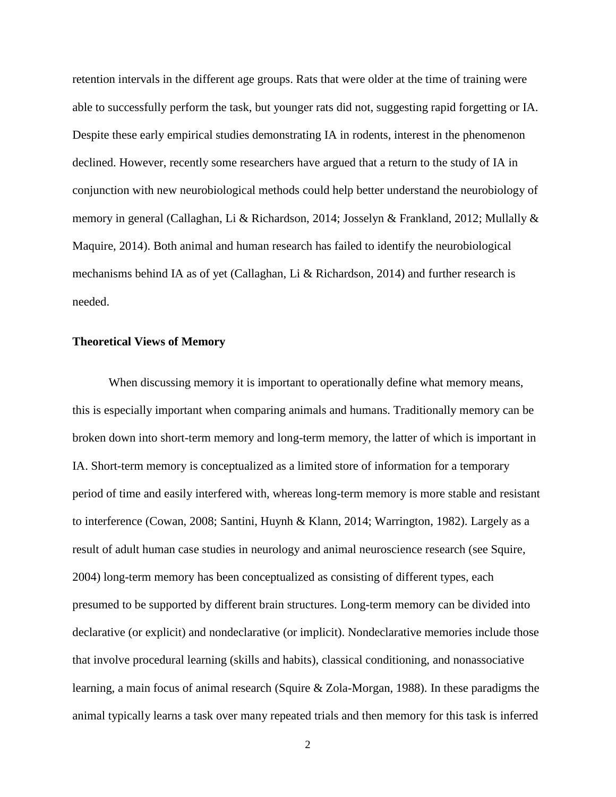retention intervals in the different age groups. Rats that were older at the time of training were able to successfully perform the task, but younger rats did not, suggesting rapid forgetting or IA. Despite these early empirical studies demonstrating IA in rodents, interest in the phenomenon declined. However, recently some researchers have argued that a return to the study of IA in conjunction with new neurobiological methods could help better understand the neurobiology of memory in general (Callaghan, Li & Richardson, 2014; Josselyn & Frankland, 2012; Mullally & Maquire, 2014). Both animal and human research has failed to identify the neurobiological mechanisms behind IA as of yet (Callaghan, Li & Richardson, 2014) and further research is needed.

#### <span id="page-9-0"></span>**Theoretical Views of Memory**

When discussing memory it is important to operationally define what memory means, this is especially important when comparing animals and humans. Traditionally memory can be broken down into short-term memory and long-term memory, the latter of which is important in IA. Short-term memory is conceptualized as a limited store of information for a temporary period of time and easily interfered with, whereas long-term memory is more stable and resistant to interference (Cowan, 2008; Santini, Huynh & Klann, 2014; Warrington, 1982). Largely as a result of adult human case studies in neurology and animal neuroscience research (see Squire, 2004) long-term memory has been conceptualized as consisting of different types, each presumed to be supported by different brain structures. Long-term memory can be divided into declarative (or explicit) and nondeclarative (or implicit). Nondeclarative memories include those that involve procedural learning (skills and habits), classical conditioning, and nonassociative learning, a main focus of animal research (Squire & Zola-Morgan, 1988). In these paradigms the animal typically learns a task over many repeated trials and then memory for this task is inferred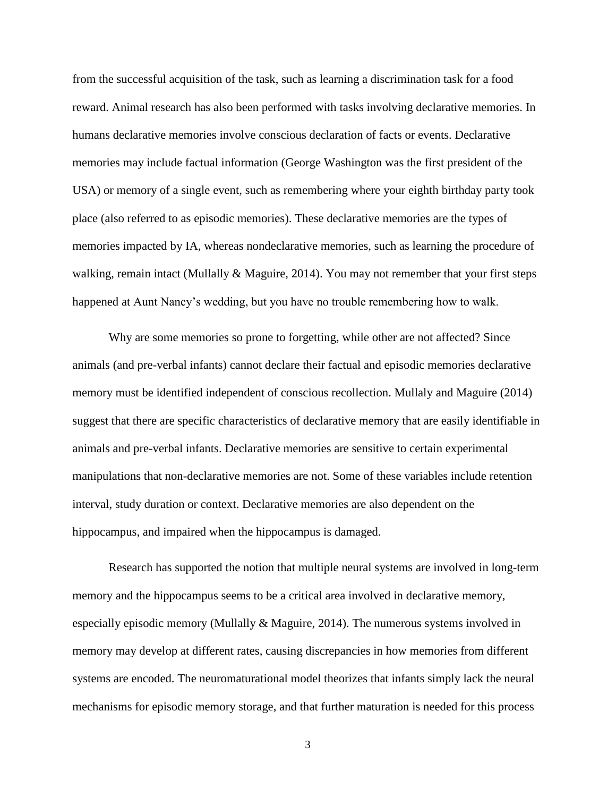from the successful acquisition of the task, such as learning a discrimination task for a food reward. Animal research has also been performed with tasks involving declarative memories. In humans declarative memories involve conscious declaration of facts or events. Declarative memories may include factual information (George Washington was the first president of the USA) or memory of a single event, such as remembering where your eighth birthday party took place (also referred to as episodic memories). These declarative memories are the types of memories impacted by IA, whereas nondeclarative memories, such as learning the procedure of walking, remain intact (Mullally  $\&$  Maguire, 2014). You may not remember that your first steps happened at Aunt Nancy's wedding, but you have no trouble remembering how to walk.

Why are some memories so prone to forgetting, while other are not affected? Since animals (and pre-verbal infants) cannot declare their factual and episodic memories declarative memory must be identified independent of conscious recollection. Mullaly and Maguire (2014) suggest that there are specific characteristics of declarative memory that are easily identifiable in animals and pre-verbal infants. Declarative memories are sensitive to certain experimental manipulations that non-declarative memories are not. Some of these variables include retention interval, study duration or context. Declarative memories are also dependent on the hippocampus, and impaired when the hippocampus is damaged.

Research has supported the notion that multiple neural systems are involved in long-term memory and the hippocampus seems to be a critical area involved in declarative memory, especially episodic memory (Mullally  $&$  Maguire, 2014). The numerous systems involved in memory may develop at different rates, causing discrepancies in how memories from different systems are encoded. The neuromaturational model theorizes that infants simply lack the neural mechanisms for episodic memory storage, and that further maturation is needed for this process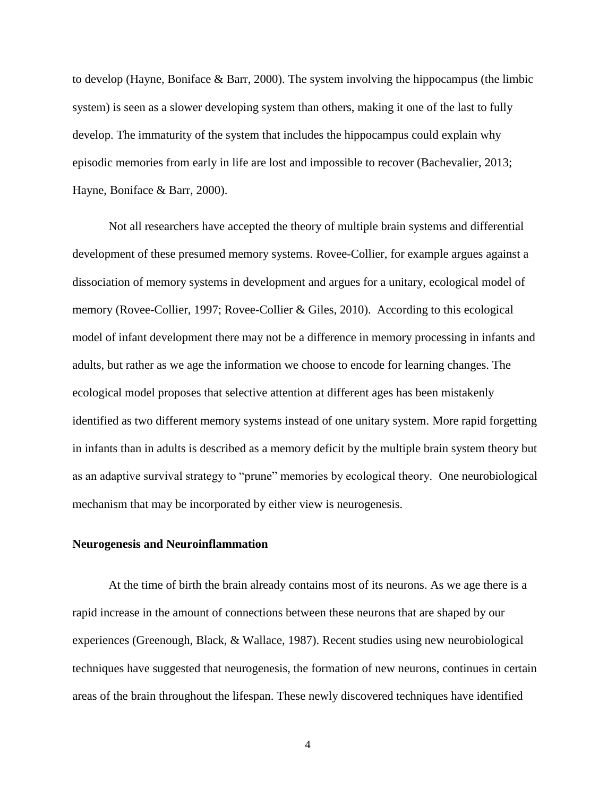to develop (Hayne, Boniface & Barr, 2000). The system involving the hippocampus (the limbic system) is seen as a slower developing system than others, making it one of the last to fully develop. The immaturity of the system that includes the hippocampus could explain why episodic memories from early in life are lost and impossible to recover (Bachevalier, 2013; Hayne, Boniface & Barr, 2000).

Not all researchers have accepted the theory of multiple brain systems and differential development of these presumed memory systems. Rovee-Collier, for example argues against a dissociation of memory systems in development and argues for a unitary, ecological model of memory (Rovee-Collier, 1997; Rovee-Collier & Giles, 2010). According to this ecological model of infant development there may not be a difference in memory processing in infants and adults, but rather as we age the information we choose to encode for learning changes. The ecological model proposes that selective attention at different ages has been mistakenly identified as two different memory systems instead of one unitary system. More rapid forgetting in infants than in adults is described as a memory deficit by the multiple brain system theory but as an adaptive survival strategy to "prune" memories by ecological theory. One neurobiological mechanism that may be incorporated by either view is neurogenesis.

#### <span id="page-11-0"></span>**Neurogenesis and Neuroinflammation**

At the time of birth the brain already contains most of its neurons. As we age there is a rapid increase in the amount of connections between these neurons that are shaped by our experiences (Greenough, Black, & Wallace, 1987). Recent studies using new neurobiological techniques have suggested that neurogenesis, the formation of new neurons, continues in certain areas of the brain throughout the lifespan. These newly discovered techniques have identified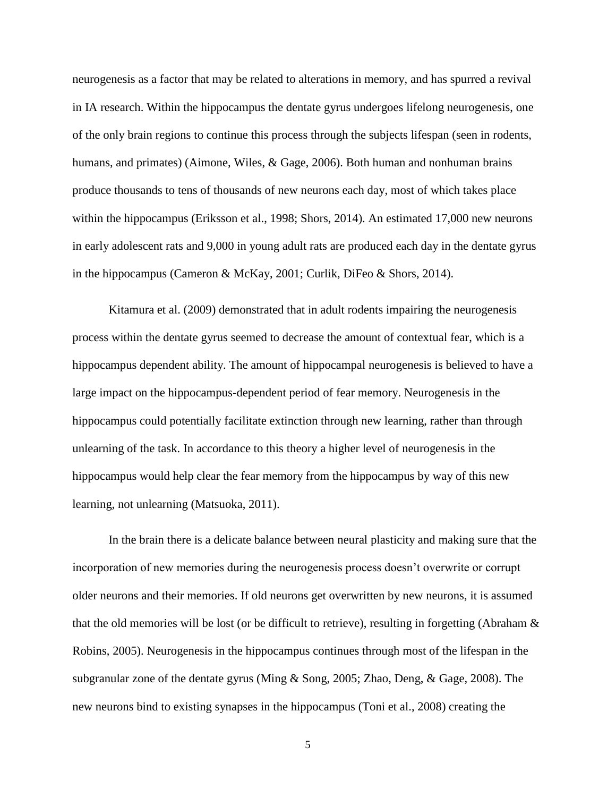neurogenesis as a factor that may be related to alterations in memory, and has spurred a revival in IA research. Within the hippocampus the dentate gyrus undergoes lifelong neurogenesis, one of the only brain regions to continue this process through the subjects lifespan (seen in rodents, humans, and primates) (Aimone, Wiles, & Gage, 2006). Both human and nonhuman brains produce thousands to tens of thousands of new neurons each day, most of which takes place within the hippocampus (Eriksson et al., 1998; Shors, 2014). An estimated 17,000 new neurons in early adolescent rats and 9,000 in young adult rats are produced each day in the dentate gyrus in the hippocampus (Cameron & McKay, 2001; Curlik, DiFeo & Shors, 2014).

Kitamura et al. (2009) demonstrated that in adult rodents impairing the neurogenesis process within the dentate gyrus seemed to decrease the amount of contextual fear, which is a hippocampus dependent ability. The amount of hippocampal neurogenesis is believed to have a large impact on the hippocampus-dependent period of fear memory. Neurogenesis in the hippocampus could potentially facilitate extinction through new learning, rather than through unlearning of the task. In accordance to this theory a higher level of neurogenesis in the hippocampus would help clear the fear memory from the hippocampus by way of this new learning, not unlearning (Matsuoka, 2011).

In the brain there is a delicate balance between neural plasticity and making sure that the incorporation of new memories during the neurogenesis process doesn't overwrite or corrupt older neurons and their memories. If old neurons get overwritten by new neurons, it is assumed that the old memories will be lost (or be difficult to retrieve), resulting in forgetting (Abraham & Robins, 2005). Neurogenesis in the hippocampus continues through most of the lifespan in the subgranular zone of the dentate gyrus (Ming & Song, 2005; Zhao, Deng, & Gage, 2008). The new neurons bind to existing synapses in the hippocampus (Toni et al., 2008) creating the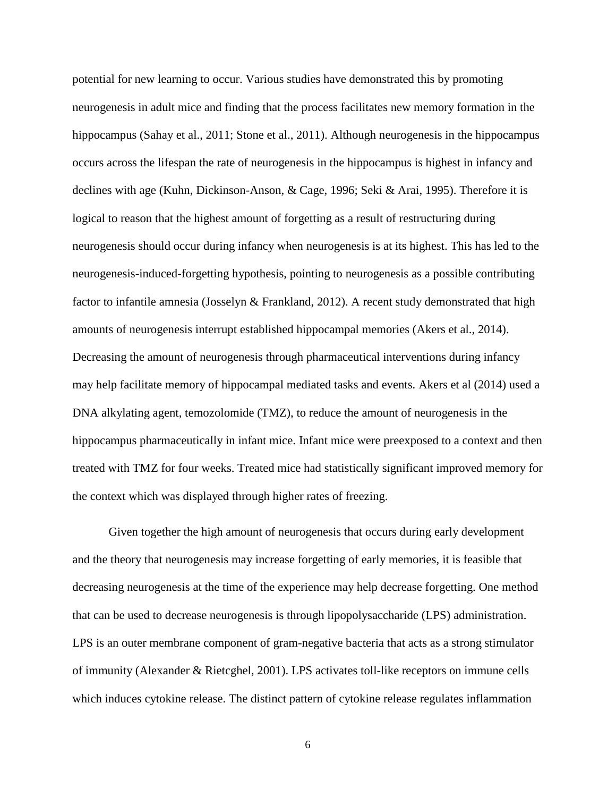potential for new learning to occur. Various studies have demonstrated this by promoting neurogenesis in adult mice and finding that the process facilitates new memory formation in the hippocampus (Sahay et al., 2011; Stone et al., 2011). Although neurogenesis in the hippocampus occurs across the lifespan the rate of neurogenesis in the hippocampus is highest in infancy and declines with age (Kuhn, Dickinson-Anson, & Cage, 1996; Seki & Arai, 1995). Therefore it is logical to reason that the highest amount of forgetting as a result of restructuring during neurogenesis should occur during infancy when neurogenesis is at its highest. This has led to the neurogenesis-induced-forgetting hypothesis, pointing to neurogenesis as a possible contributing factor to infantile amnesia (Josselyn & Frankland, 2012). A recent study demonstrated that high amounts of neurogenesis interrupt established hippocampal memories (Akers et al., 2014). Decreasing the amount of neurogenesis through pharmaceutical interventions during infancy may help facilitate memory of hippocampal mediated tasks and events. Akers et al (2014) used a DNA alkylating agent, temozolomide (TMZ), to reduce the amount of neurogenesis in the hippocampus pharmaceutically in infant mice. Infant mice were preexposed to a context and then treated with TMZ for four weeks. Treated mice had statistically significant improved memory for the context which was displayed through higher rates of freezing.

Given together the high amount of neurogenesis that occurs during early development and the theory that neurogenesis may increase forgetting of early memories, it is feasible that decreasing neurogenesis at the time of the experience may help decrease forgetting. One method that can be used to decrease neurogenesis is through lipopolysaccharide (LPS) administration. LPS is an outer membrane component of gram-negative bacteria that acts as a strong stimulator of immunity (Alexander & Rietcghel, 2001). LPS activates toll-like receptors on immune cells which induces cytokine release. The distinct pattern of cytokine release regulates inflammation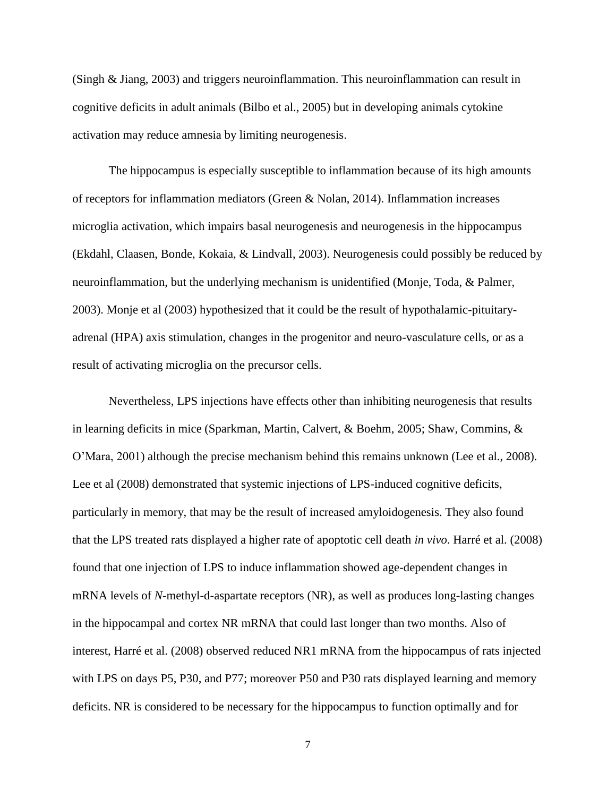(Singh & Jiang, 2003) and triggers neuroinflammation. This neuroinflammation can result in cognitive deficits in adult animals (Bilbo et al., 2005) but in developing animals cytokine activation may reduce amnesia by limiting neurogenesis.

The hippocampus is especially susceptible to inflammation because of its high amounts of receptors for inflammation mediators (Green & Nolan, 2014). Inflammation increases microglia activation, which impairs basal neurogenesis and neurogenesis in the hippocampus (Ekdahl, Claasen, Bonde, Kokaia, & Lindvall, 2003). Neurogenesis could possibly be reduced by neuroinflammation, but the underlying mechanism is unidentified (Monje, Toda, & Palmer, 2003). Monje et al (2003) hypothesized that it could be the result of hypothalamic-pituitaryadrenal (HPA) axis stimulation, changes in the progenitor and neuro-vasculature cells, or as a result of activating microglia on the precursor cells.

Nevertheless, LPS injections have effects other than inhibiting neurogenesis that results in learning deficits in mice (Sparkman, Martin, Calvert, & Boehm, 2005; Shaw, Commins, & O'Mara, 2001) although the precise mechanism behind this remains unknown (Lee et al., 2008). Lee et al (2008) demonstrated that systemic injections of LPS-induced cognitive deficits, particularly in memory, that may be the result of increased amyloidogenesis. They also found that the LPS treated rats displayed a higher rate of apoptotic cell death *in vivo*. Harré et al. (2008) found that one injection of LPS to induce inflammation showed age-dependent changes in mRNA levels of *N*-methyl-d-aspartate receptors (NR), as well as produces long-lasting changes in the hippocampal and cortex NR mRNA that could last longer than two months. Also of interest, Harré et al. (2008) observed reduced NR1 mRNA from the hippocampus of rats injected with LPS on days P5, P30, and P77; moreover P50 and P30 rats displayed learning and memory deficits. NR is considered to be necessary for the hippocampus to function optimally and for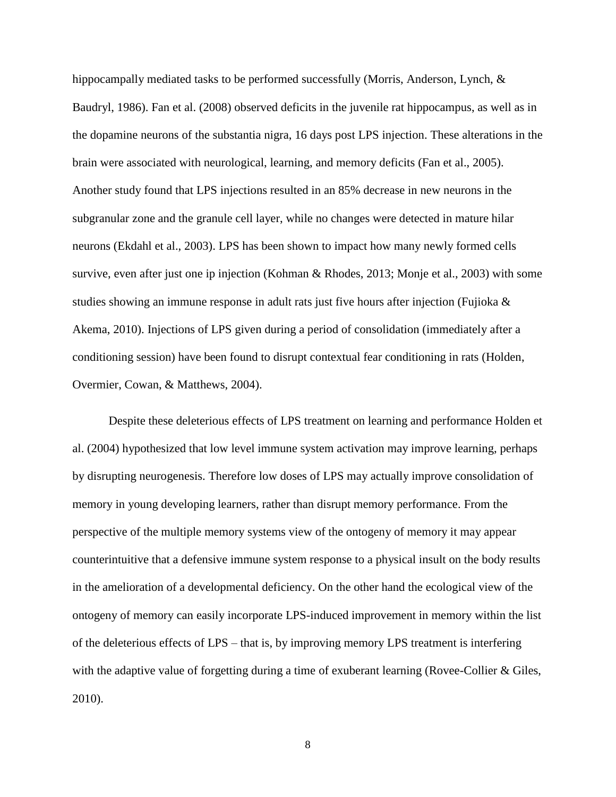hippocampally mediated tasks to be performed successfully (Morris, Anderson, Lynch, & Baudryl, 1986). Fan et al. (2008) observed deficits in the juvenile rat hippocampus, as well as in the dopamine neurons of the substantia nigra, 16 days post LPS injection. These alterations in the brain were associated with neurological, learning, and memory deficits (Fan et al., 2005). Another study found that LPS injections resulted in an 85% decrease in new neurons in the subgranular zone and the granule cell layer, while no changes were detected in mature hilar neurons (Ekdahl et al., 2003). LPS has been shown to impact how many newly formed cells survive, even after just one ip injection (Kohman & Rhodes, 2013; Monje et al., 2003) with some studies showing an immune response in adult rats just five hours after injection (Fujioka & Akema, 2010). Injections of LPS given during a period of consolidation (immediately after a conditioning session) have been found to disrupt contextual fear conditioning in rats (Holden, Overmier, Cowan, & Matthews, 2004).

Despite these deleterious effects of LPS treatment on learning and performance Holden et al. (2004) hypothesized that low level immune system activation may improve learning, perhaps by disrupting neurogenesis. Therefore low doses of LPS may actually improve consolidation of memory in young developing learners, rather than disrupt memory performance. From the perspective of the multiple memory systems view of the ontogeny of memory it may appear counterintuitive that a defensive immune system response to a physical insult on the body results in the amelioration of a developmental deficiency. On the other hand the ecological view of the ontogeny of memory can easily incorporate LPS-induced improvement in memory within the list of the deleterious effects of LPS – that is, by improving memory LPS treatment is interfering with the adaptive value of forgetting during a time of exuberant learning (Rovee-Collier & Giles, 2010).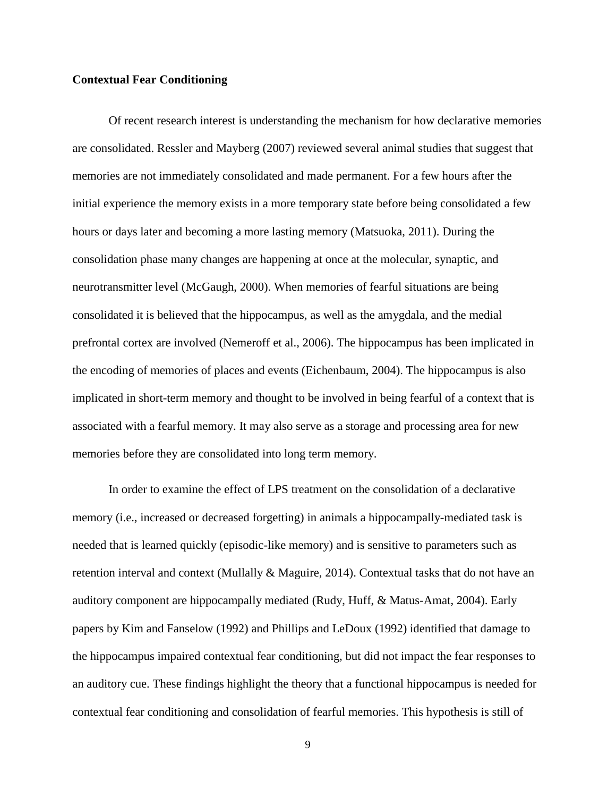#### <span id="page-16-0"></span>**Contextual Fear Conditioning**

Of recent research interest is understanding the mechanism for how declarative memories are consolidated. Ressler and Mayberg (2007) reviewed several animal studies that suggest that memories are not immediately consolidated and made permanent. For a few hours after the initial experience the memory exists in a more temporary state before being consolidated a few hours or days later and becoming a more lasting memory (Matsuoka, 2011). During the consolidation phase many changes are happening at once at the molecular, synaptic, and neurotransmitter level (McGaugh, 2000). When memories of fearful situations are being consolidated it is believed that the hippocampus, as well as the amygdala, and the medial prefrontal cortex are involved (Nemeroff et al., 2006). The hippocampus has been implicated in the encoding of memories of places and events (Eichenbaum, 2004). The hippocampus is also implicated in short-term memory and thought to be involved in being fearful of a context that is associated with a fearful memory. It may also serve as a storage and processing area for new memories before they are consolidated into long term memory.

In order to examine the effect of LPS treatment on the consolidation of a declarative memory (i.e., increased or decreased forgetting) in animals a hippocampally-mediated task is needed that is learned quickly (episodic-like memory) and is sensitive to parameters such as retention interval and context (Mullally & Maguire, 2014). Contextual tasks that do not have an auditory component are hippocampally mediated (Rudy, Huff, & Matus-Amat, 2004). Early papers by Kim and Fanselow (1992) and Phillips and LeDoux (1992) identified that damage to the hippocampus impaired contextual fear conditioning, but did not impact the fear responses to an auditory cue. These findings highlight the theory that a functional hippocampus is needed for contextual fear conditioning and consolidation of fearful memories. This hypothesis is still of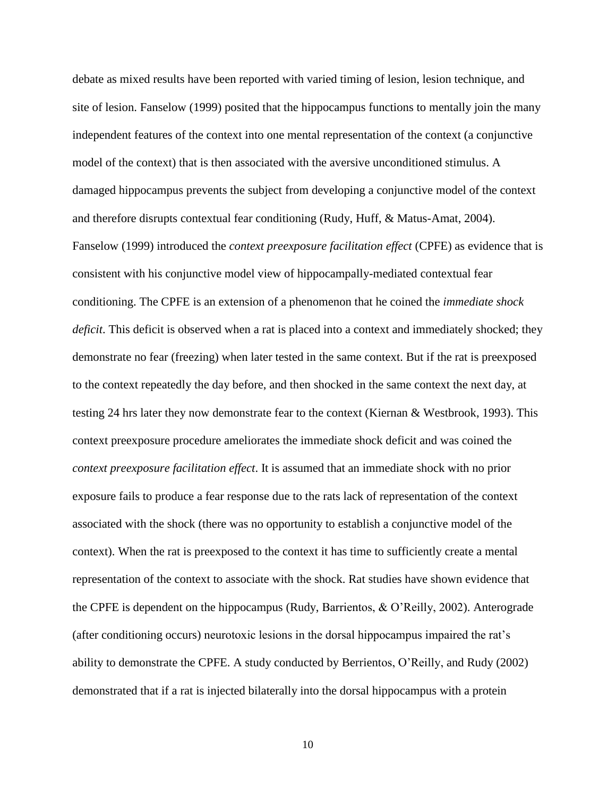debate as mixed results have been reported with varied timing of lesion, lesion technique, and site of lesion. Fanselow (1999) posited that the hippocampus functions to mentally join the many independent features of the context into one mental representation of the context (a conjunctive model of the context) that is then associated with the aversive unconditioned stimulus. A damaged hippocampus prevents the subject from developing a conjunctive model of the context and therefore disrupts contextual fear conditioning (Rudy, Huff, & Matus-Amat, 2004). Fanselow (1999) introduced the *context preexposure facilitation effect* (CPFE) as evidence that is consistent with his conjunctive model view of hippocampally-mediated contextual fear conditioning. The CPFE is an extension of a phenomenon that he coined the *immediate shock deficit*. This deficit is observed when a rat is placed into a context and immediately shocked; they demonstrate no fear (freezing) when later tested in the same context. But if the rat is preexposed to the context repeatedly the day before, and then shocked in the same context the next day, at testing 24 hrs later they now demonstrate fear to the context (Kiernan & Westbrook, 1993). This context preexposure procedure ameliorates the immediate shock deficit and was coined the *context preexposure facilitation effect*. It is assumed that an immediate shock with no prior exposure fails to produce a fear response due to the rats lack of representation of the context associated with the shock (there was no opportunity to establish a conjunctive model of the context). When the rat is preexposed to the context it has time to sufficiently create a mental representation of the context to associate with the shock. Rat studies have shown evidence that the CPFE is dependent on the hippocampus (Rudy, Barrientos, & O'Reilly, 2002). Anterograde (after conditioning occurs) neurotoxic lesions in the dorsal hippocampus impaired the rat's ability to demonstrate the CPFE. A study conducted by Berrientos, O'Reilly, and Rudy (2002) demonstrated that if a rat is injected bilaterally into the dorsal hippocampus with a protein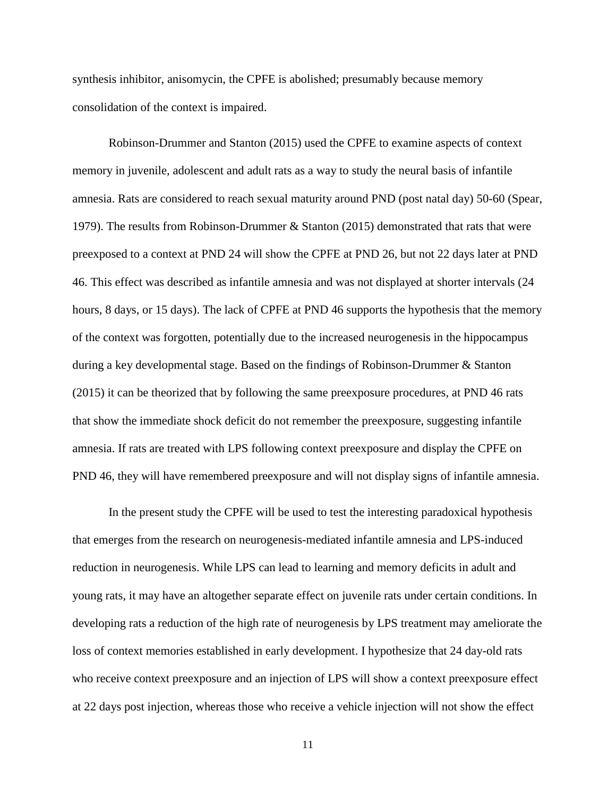synthesis inhibitor, anisomycin, the CPFE is abolished; presumably because memory consolidation of the context is impaired.

Robinson-Drummer and Stanton (2015) used the CPFE to examine aspects of context memory in juvenile, adolescent and adult rats as a way to study the neural basis of infantile amnesia. Rats are considered to reach sexual maturity around PND (post natal day) 50-60 (Spear, 1979). The results from Robinson-Drummer & Stanton (2015) demonstrated that rats that were preexposed to a context at PND 24 will show the CPFE at PND 26, but not 22 days later at PND 46. This effect was described as infantile amnesia and was not displayed at shorter intervals (24 hours, 8 days, or 15 days). The lack of CPFE at PND 46 supports the hypothesis that the memory of the context was forgotten, potentially due to the increased neurogenesis in the hippocampus during a key developmental stage. Based on the findings of Robinson-Drummer & Stanton (2015) it can be theorized that by following the same preexposure procedures, at PND 46 rats that show the immediate shock deficit do not remember the preexposure, suggesting infantile amnesia. If rats are treated with LPS following context preexposure and display the CPFE on PND 46, they will have remembered preexposure and will not display signs of infantile amnesia.

In the present study the CPFE will be used to test the interesting paradoxical hypothesis that emerges from the research on neurogenesis-mediated infantile amnesia and LPS-induced reduction in neurogenesis. While LPS can lead to learning and memory deficits in adult and young rats, it may have an altogether separate effect on juvenile rats under certain conditions. In developing rats a reduction of the high rate of neurogenesis by LPS treatment may ameliorate the loss of context memories established in early development. I hypothesize that 24 day-old rats who receive context preexposure and an injection of LPS will show a context preexposure effect at 22 days post injection, whereas those who receive a vehicle injection will not show the effect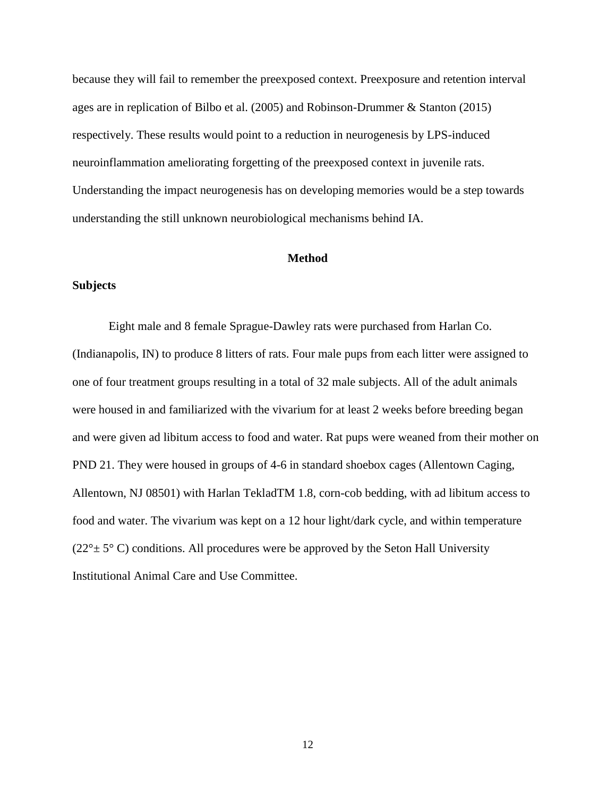because they will fail to remember the preexposed context. Preexposure and retention interval ages are in replication of Bilbo et al. (2005) and Robinson-Drummer & Stanton (2015) respectively. These results would point to a reduction in neurogenesis by LPS-induced neuroinflammation ameliorating forgetting of the preexposed context in juvenile rats. Understanding the impact neurogenesis has on developing memories would be a step towards understanding the still unknown neurobiological mechanisms behind IA.

#### **Method**

#### <span id="page-19-1"></span><span id="page-19-0"></span>**Subjects**

Eight male and 8 female Sprague-Dawley rats were purchased from Harlan Co. (Indianapolis, IN) to produce 8 litters of rats. Four male pups from each litter were assigned to one of four treatment groups resulting in a total of 32 male subjects. All of the adult animals were housed in and familiarized with the vivarium for at least 2 weeks before breeding began and were given ad libitum access to food and water. Rat pups were weaned from their mother on PND 21. They were housed in groups of 4-6 in standard shoebox cages (Allentown Caging, Allentown, NJ 08501) with Harlan TekladTM 1.8, corn-cob bedding, with ad libitum access to food and water. The vivarium was kept on a 12 hour light/dark cycle, and within temperature  $(22^{\circ} \pm 5^{\circ} \text{ C})$  conditions. All procedures were be approved by the Seton Hall University Institutional Animal Care and Use Committee.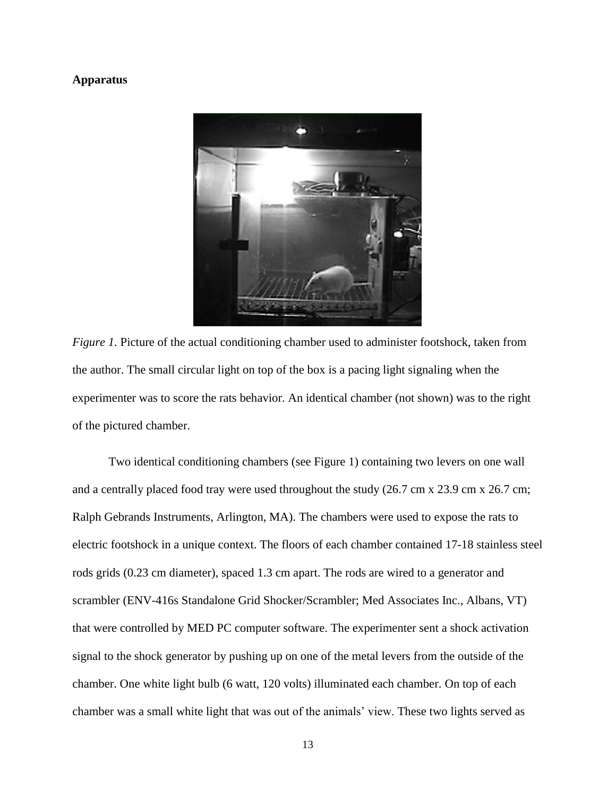#### <span id="page-20-0"></span>**Apparatus**



*Figure 1.* Picture of the actual conditioning chamber used to administer footshock, taken from the author. The small circular light on top of the box is a pacing light signaling when the experimenter was to score the rats behavior. An identical chamber (not shown) was to the right of the pictured chamber.

Two identical conditioning chambers (see Figure 1) containing two levers on one wall and a centrally placed food tray were used throughout the study  $(26.7 \text{ cm} \times 23.9 \text{ cm} \times 26.7 \text{ cm})$ ; Ralph Gebrands Instruments, Arlington, MA). The chambers were used to expose the rats to electric footshock in a unique context. The floors of each chamber contained 17-18 stainless steel rods grids (0.23 cm diameter), spaced 1.3 cm apart. The rods are wired to a generator and scrambler (ENV-416s Standalone Grid Shocker/Scrambler; Med Associates Inc., Albans, VT) that were controlled by MED PC computer software. The experimenter sent a shock activation signal to the shock generator by pushing up on one of the metal levers from the outside of the chamber. One white light bulb (6 watt, 120 volts) illuminated each chamber. On top of each chamber was a small white light that was out of the animals' view. These two lights served as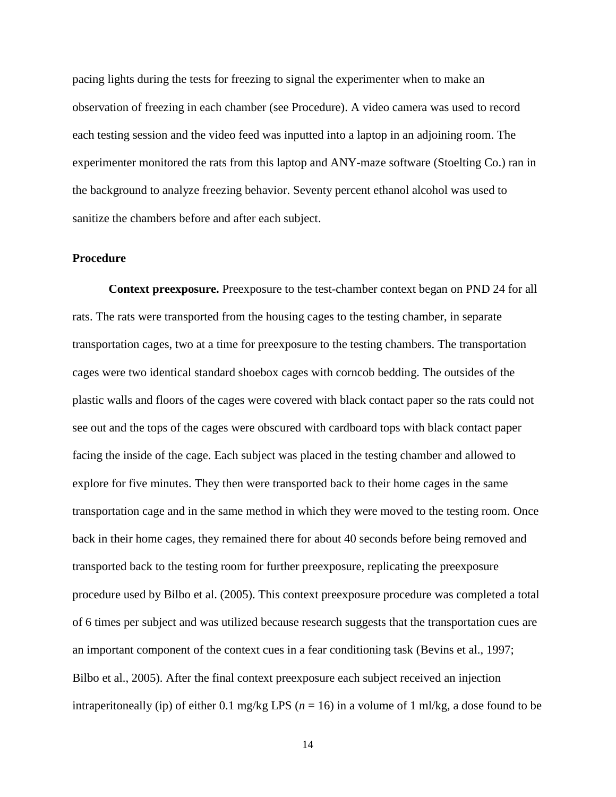pacing lights during the tests for freezing to signal the experimenter when to make an observation of freezing in each chamber (see Procedure). A video camera was used to record each testing session and the video feed was inputted into a laptop in an adjoining room. The experimenter monitored the rats from this laptop and ANY-maze software (Stoelting Co.) ran in the background to analyze freezing behavior. Seventy percent ethanol alcohol was used to sanitize the chambers before and after each subject.

#### <span id="page-21-0"></span>**Procedure**

<span id="page-21-1"></span>**Context preexposure.** Preexposure to the test-chamber context began on PND 24 for all rats. The rats were transported from the housing cages to the testing chamber, in separate transportation cages, two at a time for preexposure to the testing chambers. The transportation cages were two identical standard shoebox cages with corncob bedding. The outsides of the plastic walls and floors of the cages were covered with black contact paper so the rats could not see out and the tops of the cages were obscured with cardboard tops with black contact paper facing the inside of the cage. Each subject was placed in the testing chamber and allowed to explore for five minutes. They then were transported back to their home cages in the same transportation cage and in the same method in which they were moved to the testing room. Once back in their home cages, they remained there for about 40 seconds before being removed and transported back to the testing room for further preexposure, replicating the preexposure procedure used by Bilbo et al. (2005). This context preexposure procedure was completed a total of 6 times per subject and was utilized because research suggests that the transportation cues are an important component of the context cues in a fear conditioning task (Bevins et al., 1997; Bilbo et al., 2005). After the final context preexposure each subject received an injection intraperitoneally (ip) of either 0.1 mg/kg LPS (*n* = 16) in a volume of 1 ml/kg, a dose found to be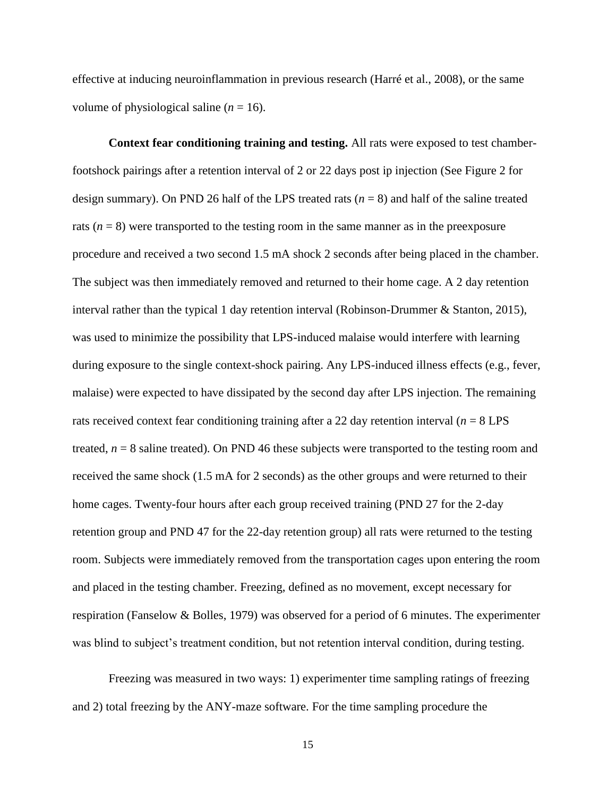effective at inducing neuroinflammation in previous research (Harré et al., 2008), or the same volume of physiological saline  $(n = 16)$ .

<span id="page-22-0"></span>**Context fear conditioning training and testing.** All rats were exposed to test chamberfootshock pairings after a retention interval of 2 or 22 days post ip injection (See Figure 2 for design summary). On PND 26 half of the LPS treated rats  $(n = 8)$  and half of the saline treated rats  $(n = 8)$  were transported to the testing room in the same manner as in the preexposure procedure and received a two second 1.5 mA shock 2 seconds after being placed in the chamber. The subject was then immediately removed and returned to their home cage. A 2 day retention interval rather than the typical 1 day retention interval (Robinson-Drummer & Stanton, 2015), was used to minimize the possibility that LPS-induced malaise would interfere with learning during exposure to the single context-shock pairing. Any LPS-induced illness effects (e.g., fever, malaise) were expected to have dissipated by the second day after LPS injection. The remaining rats received context fear conditioning training after a 22 day retention interval ( $n = 8$  LPS) treated,  $n = 8$  saline treated). On PND 46 these subjects were transported to the testing room and received the same shock (1.5 mA for 2 seconds) as the other groups and were returned to their home cages. Twenty-four hours after each group received training (PND 27 for the 2-day retention group and PND 47 for the 22-day retention group) all rats were returned to the testing room. Subjects were immediately removed from the transportation cages upon entering the room and placed in the testing chamber. Freezing, defined as no movement, except necessary for respiration (Fanselow & Bolles, 1979) was observed for a period of 6 minutes. The experimenter was blind to subject's treatment condition, but not retention interval condition, during testing.

Freezing was measured in two ways: 1) experimenter time sampling ratings of freezing and 2) total freezing by the ANY-maze software. For the time sampling procedure the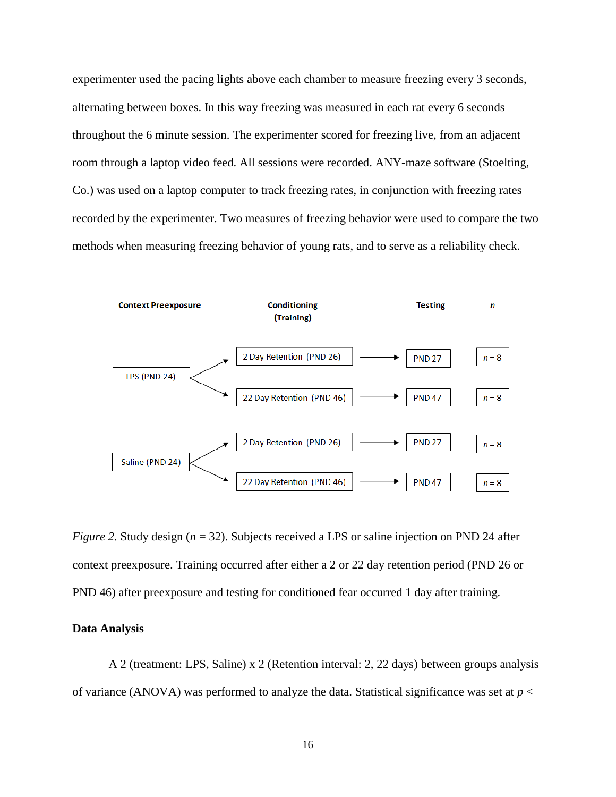experimenter used the pacing lights above each chamber to measure freezing every 3 seconds, alternating between boxes. In this way freezing was measured in each rat every 6 seconds throughout the 6 minute session. The experimenter scored for freezing live, from an adjacent room through a laptop video feed. All sessions were recorded. ANY-maze software (Stoelting, Co.) was used on a laptop computer to track freezing rates, in conjunction with freezing rates recorded by the experimenter. Two measures of freezing behavior were used to compare the two methods when measuring freezing behavior of young rats, and to serve as a reliability check.



*Figure 2.* Study design (*n* = 32). Subjects received a LPS or saline injection on PND 24 after context preexposure. Training occurred after either a 2 or 22 day retention period (PND 26 or PND 46) after preexposure and testing for conditioned fear occurred 1 day after training.

#### **Data Analysis**

A 2 (treatment: LPS, Saline) x 2 (Retention interval: 2, 22 days) between groups analysis of variance (ANOVA) was performed to analyze the data. Statistical significance was set at  $p <$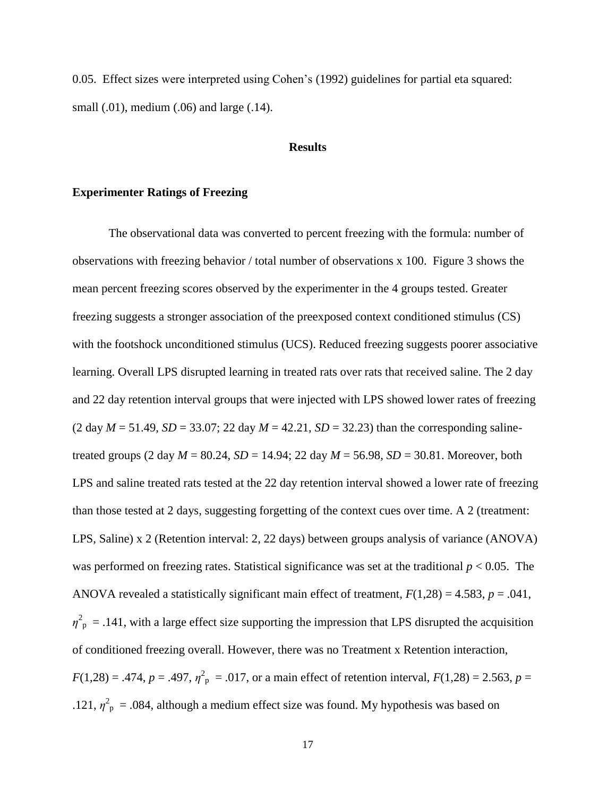0.05. Effect sizes were interpreted using Cohen's (1992) guidelines for partial eta squared: small (.01), medium (.06) and large (.14).

#### **Results**

#### <span id="page-24-1"></span><span id="page-24-0"></span>**Experimenter Ratings of Freezing**

The observational data was converted to percent freezing with the formula: number of observations with freezing behavior / total number of observations x 100. Figure 3 shows the mean percent freezing scores observed by the experimenter in the 4 groups tested. Greater freezing suggests a stronger association of the preexposed context conditioned stimulus (CS) with the footshock unconditioned stimulus (UCS). Reduced freezing suggests poorer associative learning. Overall LPS disrupted learning in treated rats over rats that received saline. The 2 day and 22 day retention interval groups that were injected with LPS showed lower rates of freezing  $(2 day M = 51.49, SD = 33.07; 22 day M = 42.21, SD = 32.23)$  than the corresponding salinetreated groups (2 day  $M = 80.24$ ,  $SD = 14.94$ ; 22 day  $M = 56.98$ ,  $SD = 30.81$ . Moreover, both LPS and saline treated rats tested at the 22 day retention interval showed a lower rate of freezing than those tested at 2 days, suggesting forgetting of the context cues over time. A 2 (treatment: LPS, Saline) x 2 (Retention interval: 2, 22 days) between groups analysis of variance (ANOVA) was performed on freezing rates. Statistical significance was set at the traditional *p* < 0.05. The ANOVA revealed a statistically significant main effect of treatment, *F*(1,28) = 4.583, *p* = .041,  $\eta_{\text{p}}^2$  = .141, with a large effect size supporting the impression that LPS disrupted the acquisition of conditioned freezing overall. However, there was no Treatment x Retention interaction,  $F(1,28) = .474$ ,  $p = .497$ ,  $\eta^2$ <sub>p</sub> = .017, or a main effect of retention interval,  $F(1,28) = 2.563$ ,  $p =$ .121,  $\eta_{\text{p}}^2$  = .084, although a medium effect size was found. My hypothesis was based on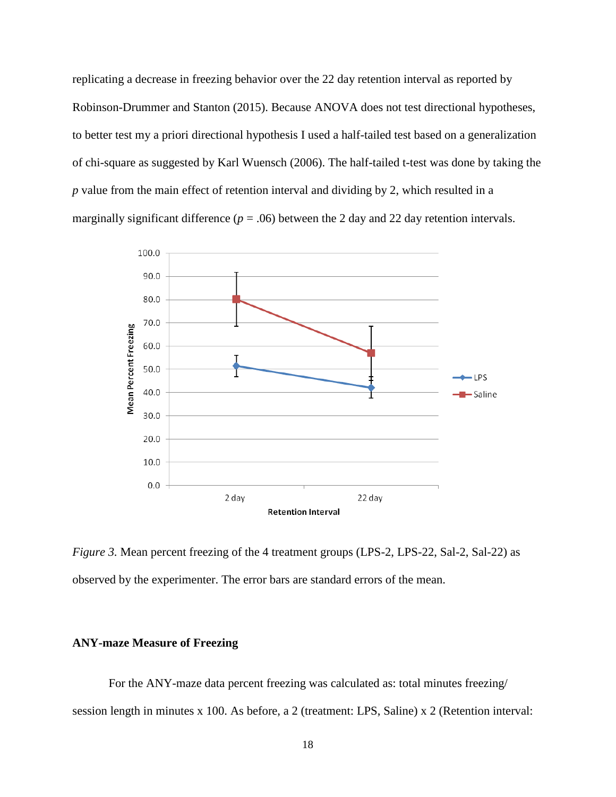replicating a decrease in freezing behavior over the 22 day retention interval as reported by Robinson-Drummer and Stanton (2015). Because ANOVA does not test directional hypotheses, to better test my a priori directional hypothesis I used a half-tailed test based on a generalization of chi-square as suggested by Karl Wuensch (2006). The half-tailed t-test was done by taking the *p* value from the main effect of retention interval and dividing by 2, which resulted in a marginally significant difference ( $p = .06$ ) between the 2 day and 22 day retention intervals.



*Figure 3.* Mean percent freezing of the 4 treatment groups (LPS-2, LPS-22, Sal-2, Sal-22) as observed by the experimenter. The error bars are standard errors of the mean.

#### <span id="page-25-0"></span>**ANY-maze Measure of Freezing**

For the ANY-maze data percent freezing was calculated as: total minutes freezing/ session length in minutes x 100. As before, a 2 (treatment: LPS, Saline) x 2 (Retention interval: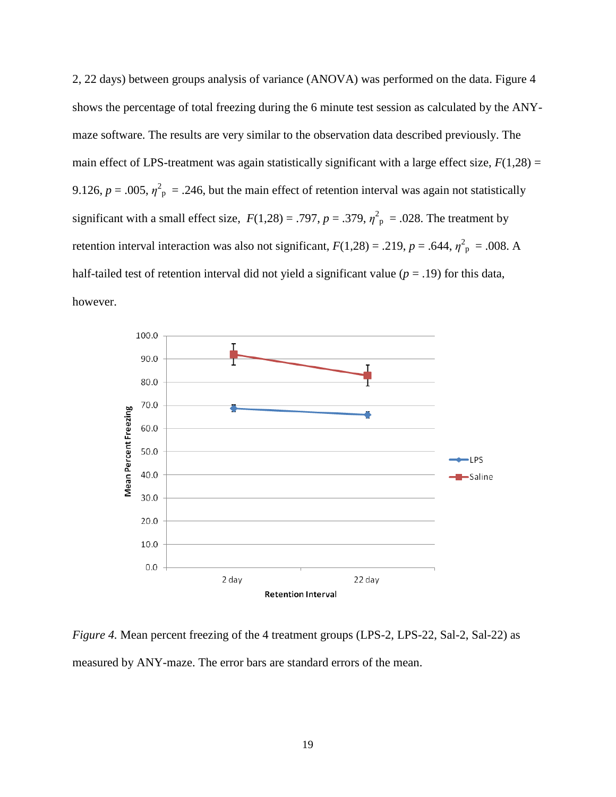2, 22 days) between groups analysis of variance (ANOVA) was performed on the data. Figure 4 shows the percentage of total freezing during the 6 minute test session as calculated by the ANYmaze software. The results are very similar to the observation data described previously. The main effect of LPS-treatment was again statistically significant with a large effect size,  $F(1,28)$  = 9.126,  $p = .005$ ,  $\eta^2$ <sub>p</sub> = .246, but the main effect of retention interval was again not statistically significant with a small effect size,  $F(1,28) = .797$ ,  $p = .379$ ,  $\eta^2$ <sub>p</sub> = .028. The treatment by retention interval interaction was also not significant,  $F(1,28) = .219$ ,  $p = .644$ ,  $\eta_{\text{p}}^2 = .008$ . A half-tailed test of retention interval did not yield a significant value  $(p = .19)$  for this data, however.



*Figure 4.* Mean percent freezing of the 4 treatment groups (LPS-2, LPS-22, Sal-2, Sal-22) as measured by ANY-maze. The error bars are standard errors of the mean.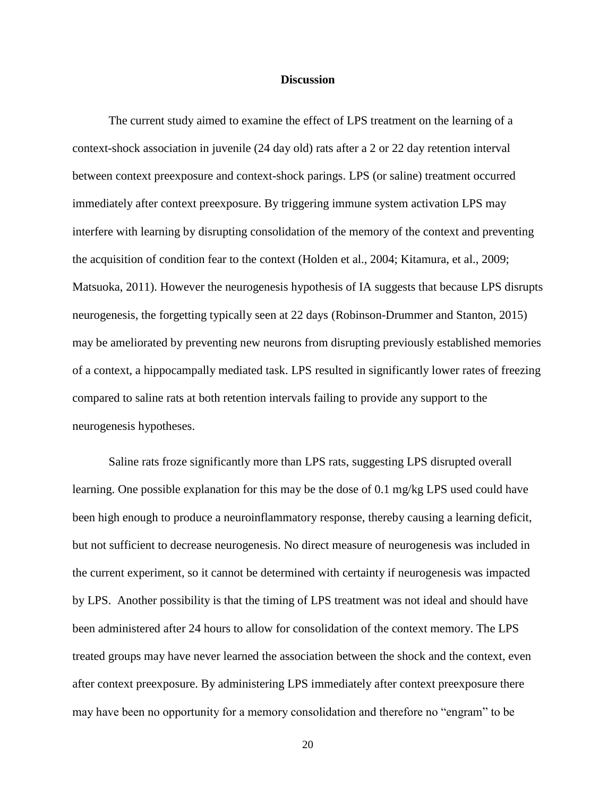#### **Discussion**

<span id="page-27-0"></span>The current study aimed to examine the effect of LPS treatment on the learning of a context-shock association in juvenile (24 day old) rats after a 2 or 22 day retention interval between context preexposure and context-shock parings. LPS (or saline) treatment occurred immediately after context preexposure. By triggering immune system activation LPS may interfere with learning by disrupting consolidation of the memory of the context and preventing the acquisition of condition fear to the context (Holden et al., 2004; Kitamura, et al., 2009; Matsuoka, 2011). However the neurogenesis hypothesis of IA suggests that because LPS disrupts neurogenesis, the forgetting typically seen at 22 days (Robinson-Drummer and Stanton, 2015) may be ameliorated by preventing new neurons from disrupting previously established memories of a context, a hippocampally mediated task. LPS resulted in significantly lower rates of freezing compared to saline rats at both retention intervals failing to provide any support to the neurogenesis hypotheses.

Saline rats froze significantly more than LPS rats, suggesting LPS disrupted overall learning. One possible explanation for this may be the dose of 0.1 mg/kg LPS used could have been high enough to produce a neuroinflammatory response, thereby causing a learning deficit, but not sufficient to decrease neurogenesis. No direct measure of neurogenesis was included in the current experiment, so it cannot be determined with certainty if neurogenesis was impacted by LPS. Another possibility is that the timing of LPS treatment was not ideal and should have been administered after 24 hours to allow for consolidation of the context memory. The LPS treated groups may have never learned the association between the shock and the context, even after context preexposure. By administering LPS immediately after context preexposure there may have been no opportunity for a memory consolidation and therefore no "engram" to be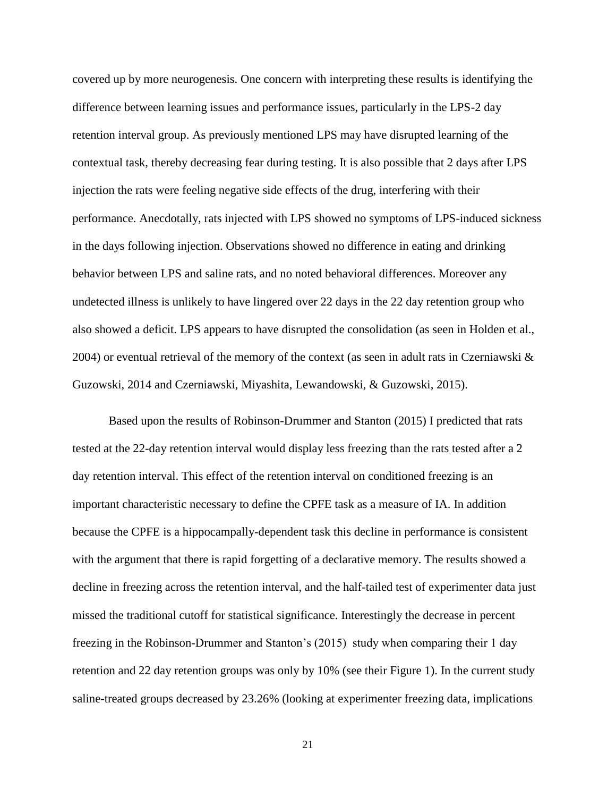covered up by more neurogenesis. One concern with interpreting these results is identifying the difference between learning issues and performance issues, particularly in the LPS-2 day retention interval group. As previously mentioned LPS may have disrupted learning of the contextual task, thereby decreasing fear during testing. It is also possible that 2 days after LPS injection the rats were feeling negative side effects of the drug, interfering with their performance. Anecdotally, rats injected with LPS showed no symptoms of LPS-induced sickness in the days following injection. Observations showed no difference in eating and drinking behavior between LPS and saline rats, and no noted behavioral differences. Moreover any undetected illness is unlikely to have lingered over 22 days in the 22 day retention group who also showed a deficit. LPS appears to have disrupted the consolidation (as seen in Holden et al., 2004) or eventual retrieval of the memory of the context (as seen in adult rats in Czerniawski & Guzowski, 2014 and Czerniawski, Miyashita, Lewandowski, & Guzowski, 2015).

Based upon the results of Robinson-Drummer and Stanton (2015) I predicted that rats tested at the 22-day retention interval would display less freezing than the rats tested after a 2 day retention interval. This effect of the retention interval on conditioned freezing is an important characteristic necessary to define the CPFE task as a measure of IA. In addition because the CPFE is a hippocampally-dependent task this decline in performance is consistent with the argument that there is rapid forgetting of a declarative memory. The results showed a decline in freezing across the retention interval, and the half-tailed test of experimenter data just missed the traditional cutoff for statistical significance. Interestingly the decrease in percent freezing in the Robinson-Drummer and Stanton's (2015) study when comparing their 1 day retention and 22 day retention groups was only by 10% (see their Figure 1). In the current study saline-treated groups decreased by 23.26% (looking at experimenter freezing data, implications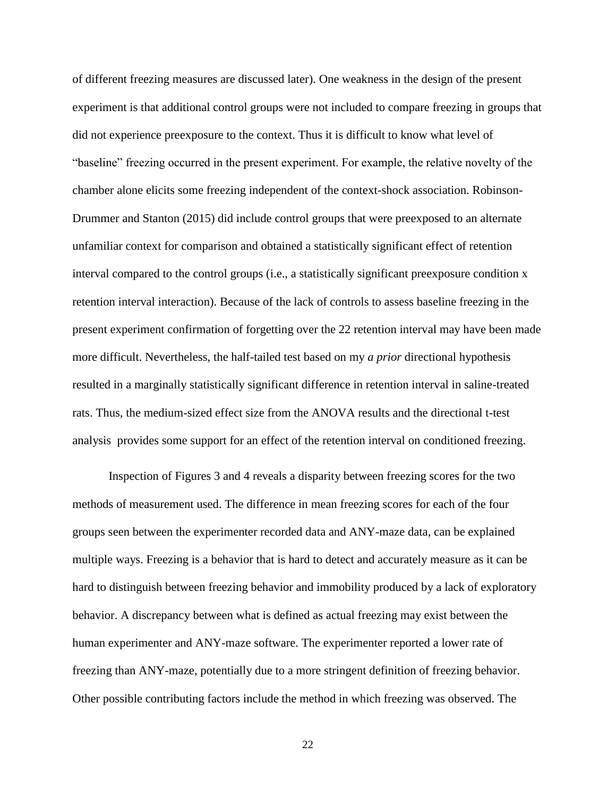of different freezing measures are discussed later). One weakness in the design of the present experiment is that additional control groups were not included to compare freezing in groups that did not experience preexposure to the context. Thus it is difficult to know what level of "baseline" freezing occurred in the present experiment. For example, the relative novelty of the chamber alone elicits some freezing independent of the context-shock association. Robinson-Drummer and Stanton (2015) did include control groups that were preexposed to an alternate unfamiliar context for comparison and obtained a statistically significant effect of retention interval compared to the control groups (i.e., a statistically significant preexposure condition x retention interval interaction). Because of the lack of controls to assess baseline freezing in the present experiment confirmation of forgetting over the 22 retention interval may have been made more difficult. Nevertheless, the half-tailed test based on my *a prior* directional hypothesis resulted in a marginally statistically significant difference in retention interval in saline-treated rats. Thus, the medium-sized effect size from the ANOVA results and the directional t-test analysis provides some support for an effect of the retention interval on conditioned freezing.

Inspection of Figures 3 and 4 reveals a disparity between freezing scores for the two methods of measurement used. The difference in mean freezing scores for each of the four groups seen between the experimenter recorded data and ANY-maze data, can be explained multiple ways. Freezing is a behavior that is hard to detect and accurately measure as it can be hard to distinguish between freezing behavior and immobility produced by a lack of exploratory behavior. A discrepancy between what is defined as actual freezing may exist between the human experimenter and ANY-maze software. The experimenter reported a lower rate of freezing than ANY-maze, potentially due to a more stringent definition of freezing behavior. Other possible contributing factors include the method in which freezing was observed. The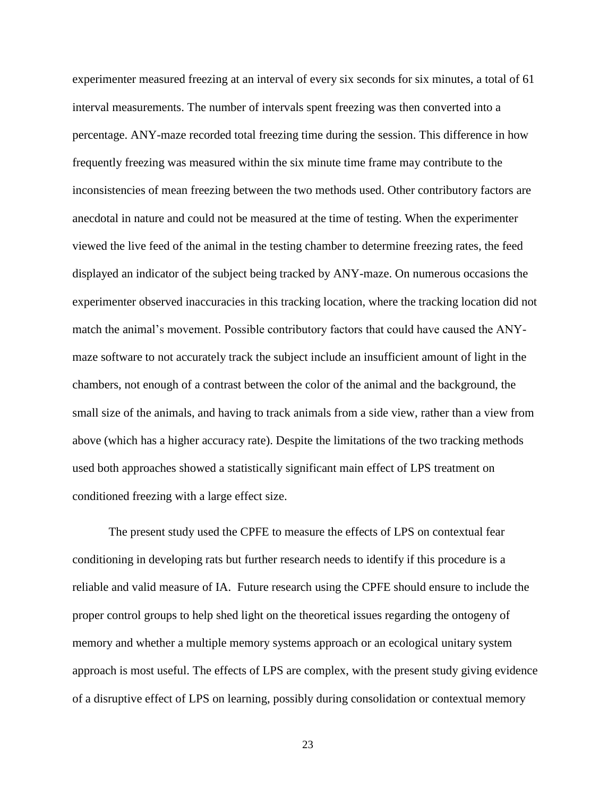experimenter measured freezing at an interval of every six seconds for six minutes, a total of 61 interval measurements. The number of intervals spent freezing was then converted into a percentage. ANY-maze recorded total freezing time during the session. This difference in how frequently freezing was measured within the six minute time frame may contribute to the inconsistencies of mean freezing between the two methods used. Other contributory factors are anecdotal in nature and could not be measured at the time of testing. When the experimenter viewed the live feed of the animal in the testing chamber to determine freezing rates, the feed displayed an indicator of the subject being tracked by ANY-maze. On numerous occasions the experimenter observed inaccuracies in this tracking location, where the tracking location did not match the animal's movement. Possible contributory factors that could have caused the ANYmaze software to not accurately track the subject include an insufficient amount of light in the chambers, not enough of a contrast between the color of the animal and the background, the small size of the animals, and having to track animals from a side view, rather than a view from above (which has a higher accuracy rate). Despite the limitations of the two tracking methods used both approaches showed a statistically significant main effect of LPS treatment on conditioned freezing with a large effect size.

The present study used the CPFE to measure the effects of LPS on contextual fear conditioning in developing rats but further research needs to identify if this procedure is a reliable and valid measure of IA. Future research using the CPFE should ensure to include the proper control groups to help shed light on the theoretical issues regarding the ontogeny of memory and whether a multiple memory systems approach or an ecological unitary system approach is most useful. The effects of LPS are complex, with the present study giving evidence of a disruptive effect of LPS on learning, possibly during consolidation or contextual memory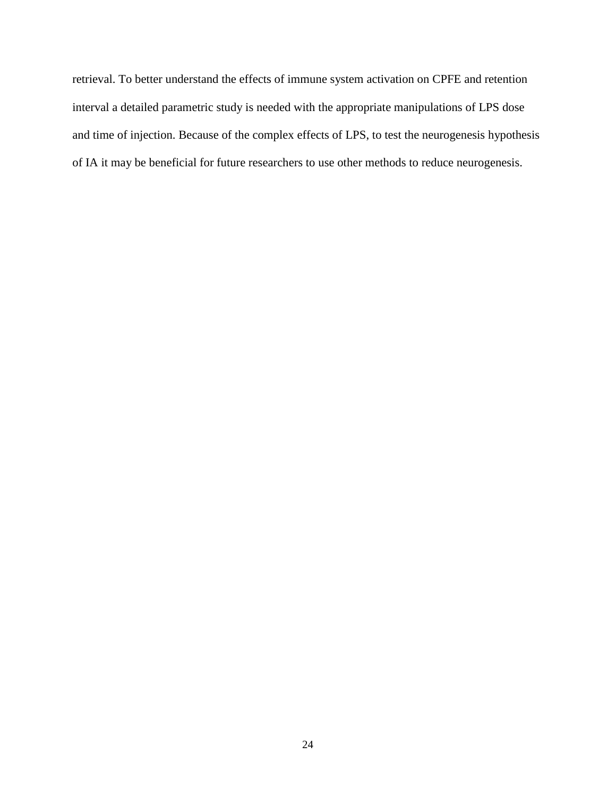retrieval. To better understand the effects of immune system activation on CPFE and retention interval a detailed parametric study is needed with the appropriate manipulations of LPS dose and time of injection. Because of the complex effects of LPS, to test the neurogenesis hypothesis of IA it may be beneficial for future researchers to use other methods to reduce neurogenesis.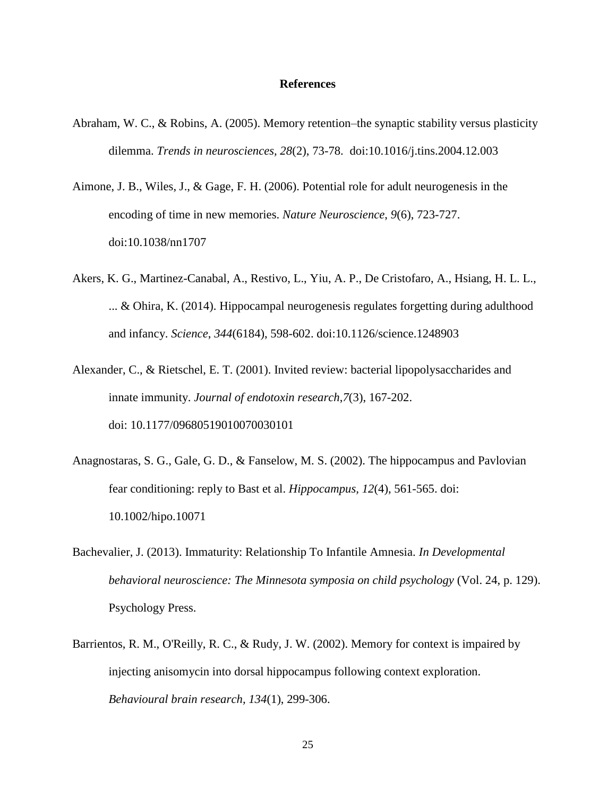#### **References**

- <span id="page-32-0"></span>Abraham, W. C., & Robins, A. (2005). Memory retention–the synaptic stability versus plasticity dilemma. *Trends in neurosciences, 28*(2), 73-78. doi:10.1016/j.tins.2004.12.003
- Aimone, J. B., Wiles, J., & Gage, F. H. (2006). Potential role for adult neurogenesis in the encoding of time in new memories. *Nature Neuroscience*, *9*(6), 723-727. doi:10.1038/nn1707
- Akers, K. G., Martinez-Canabal, A., Restivo, L., Yiu, A. P., De Cristofaro, A., Hsiang, H. L. L., ... & Ohira, K. (2014). Hippocampal neurogenesis regulates forgetting during adulthood and infancy. *Science*, *344*(6184), 598-602. doi:10.1126/science.1248903
- Alexander, C., & Rietschel, E. T. (2001). Invited review: bacterial lipopolysaccharides and innate immunity. *Journal of endotoxin research*,*7*(3), 167-202. doi: 10.1177/09680519010070030101
- Anagnostaras, S. G., Gale, G. D., & Fanselow, M. S. (2002). The hippocampus and Pavlovian fear conditioning: reply to Bast et al. *Hippocampus, 12*(4), 561-565. doi: 10.1002/hipo.10071
- Bachevalier, J. (2013). Immaturity: Relationship To Infantile Amnesia. *In Developmental behavioral neuroscience: The Minnesota symposia on child psychology* (Vol. 24, p. 129). Psychology Press.
- Barrientos, R. M., O'Reilly, R. C., & Rudy, J. W. (2002). Memory for context is impaired by injecting anisomycin into dorsal hippocampus following context exploration. *Behavioural brain research, 134*(1), 299-306.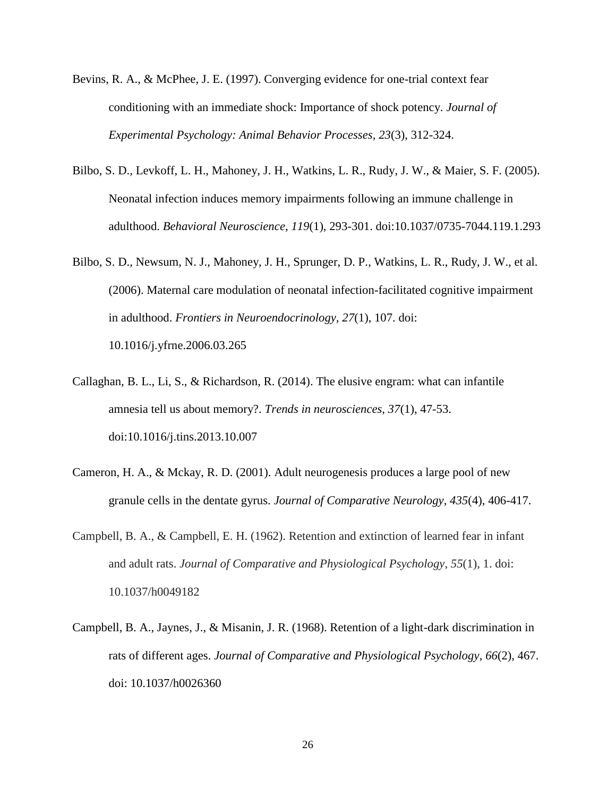- Bevins, R. A., & McPhee, J. E. (1997). Converging evidence for one-trial context fear conditioning with an immediate shock: Importance of shock potency. *Journal of Experimental Psychology: Animal Behavior Processes, 23*(3), 312-324.
- Bilbo, S. D., Levkoff, L. H., Mahoney, J. H., Watkins, L. R., Rudy, J. W., & Maier, S. F. (2005). Neonatal infection induces memory impairments following an immune challenge in adulthood. *Behavioral Neuroscience, 119*(1), 293-301. doi:10.1037/0735-7044.119.1.293
- Bilbo, S. D., Newsum, N. J., Mahoney, J. H., Sprunger, D. P., Watkins, L. R., Rudy, J. W., et al. (2006). Maternal care modulation of neonatal infection-facilitated cognitive impairment in adulthood. *Frontiers in Neuroendocrinology, 27*(1), 107. doi: 10.1016/j.yfrne.2006.03.265
- Callaghan, B. L., Li, S., & Richardson, R. (2014). The elusive engram: what can infantile amnesia tell us about memory?. *Trends in neurosciences, 37*(1), 47-53. doi:10.1016/j.tins.2013.10.007
- Cameron, H. A., & Mckay, R. D. (2001). Adult neurogenesis produces a large pool of new granule cells in the dentate gyrus. *Journal of Comparative Neurology*, *435*(4), 406-417.
- Campbell, B. A., & Campbell, E. H. (1962). Retention and extinction of learned fear in infant and adult rats. *Journal of Comparative and Physiological Psychology*, *55*(1), 1. doi: 10.1037/h0049182
- Campbell, B. A., Jaynes, J., & Misanin, J. R. (1968). Retention of a light-dark discrimination in rats of different ages. *Journal of Comparative and Physiological Psychology*, *66*(2), 467. doi: 10.1037/h0026360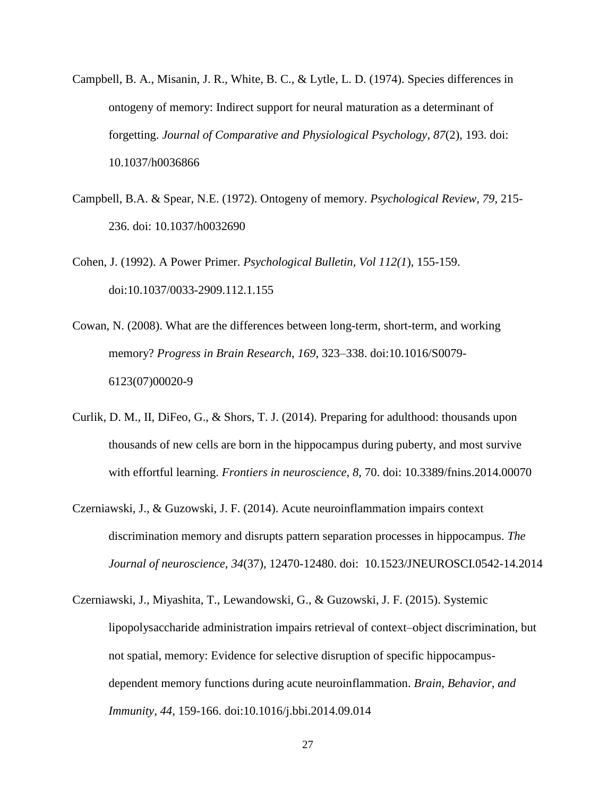- Campbell, B. A., Misanin, J. R., White, B. C., & Lytle, L. D. (1974). Species differences in ontogeny of memory: Indirect support for neural maturation as a determinant of forgetting. *Journal of Comparative and Physiological Psychology*, *87*(2), 193. doi: 10.1037/h0036866
- Campbell, B.A. & Spear, N.E. (1972). Ontogeny of memory. *Psychological Review, 79*, 215- 236. doi: 10.1037/h0032690
- Cohen, J. (1992). A Power Primer. *Psychological Bulletin, Vol 112(1*), 155-159. doi:10.1037/0033-2909.112.1.155
- Cowan, N. (2008). What are the differences between long-term, short-term, and working memory? *Progress in Brain Research*, *169*, 323–338. doi:10.1016/S0079- 6123(07)00020-9
- Curlik, D. M., II, DiFeo, G., & Shors, T. J. (2014). Preparing for adulthood: thousands upon thousands of new cells are born in the hippocampus during puberty, and most survive with effortful learning. *Frontiers in neuroscience, 8,* 70. doi: 10.3389/fnins.2014.00070
- Czerniawski, J., & Guzowski, J. F. (2014). Acute neuroinflammation impairs context discrimination memory and disrupts pattern separation processes in hippocampus. *The Journal of neuroscience*, *34*(37), 12470-12480. doi: 10.1523/JNEUROSCI.0542-14.2014
- Czerniawski, J., Miyashita, T., Lewandowski, G., & Guzowski, J. F. (2015). Systemic lipopolysaccharide administration impairs retrieval of context–object discrimination, but not spatial, memory: Evidence for selective disruption of specific hippocampusdependent memory functions during acute neuroinflammation. *Brain, Behavior, and Immunity, 44*, 159-166. doi:10.1016/j.bbi.2014.09.014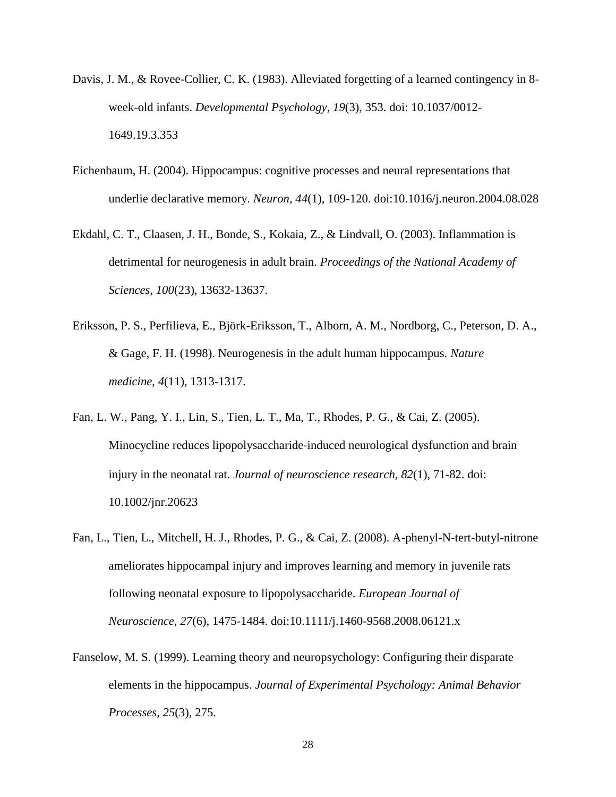- Davis, J. M., & Rovee-Collier, C. K. (1983). Alleviated forgetting of a learned contingency in 8 week-old infants. *Developmental Psychology*, *19*(3), 353. doi: 10.1037/0012- 1649.19.3.353
- Eichenbaum, H. (2004). Hippocampus: cognitive processes and neural representations that underlie declarative memory. *Neuron, 44*(1), 109-120. doi:10.1016/j.neuron.2004.08.028
- Ekdahl, C. T., Claasen, J. H., Bonde, S., Kokaia, Z., & Lindvall, O. (2003). Inflammation is detrimental for neurogenesis in adult brain. *Proceedings of the National Academy of Sciences, 100*(23), 13632-13637.
- Eriksson, P. S., Perfilieva, E., Björk-Eriksson, T., Alborn, A. M., Nordborg, C., Peterson, D. A., & Gage, F. H. (1998). Neurogenesis in the adult human hippocampus. *Nature medicine*, *4*(11), 1313-1317.
- Fan, L. W., Pang, Y. I., Lin, S., Tien, L. T., Ma, T., Rhodes, P. G., & Cai, Z. (2005). Minocycline reduces lipopolysaccharide‐induced neurological dysfunction and brain injury in the neonatal rat. *Journal of neuroscience research, 82*(1), 71-82. doi: 10.1002/jnr.20623
- Fan, L., Tien, L., Mitchell, H. J., Rhodes, P. G., & Cai, Z. (2008). A-phenyl-N-tert-butyl-nitrone ameliorates hippocampal injury and improves learning and memory in juvenile rats following neonatal exposure to lipopolysaccharide. *European Journal of Neuroscience, 27*(6), 1475-1484. doi:10.1111/j.1460-9568.2008.06121.x
- Fanselow, M. S. (1999). Learning theory and neuropsychology: Configuring their disparate elements in the hippocampus. *Journal of Experimental Psychology: Animal Behavior Processes, 25*(3), 275.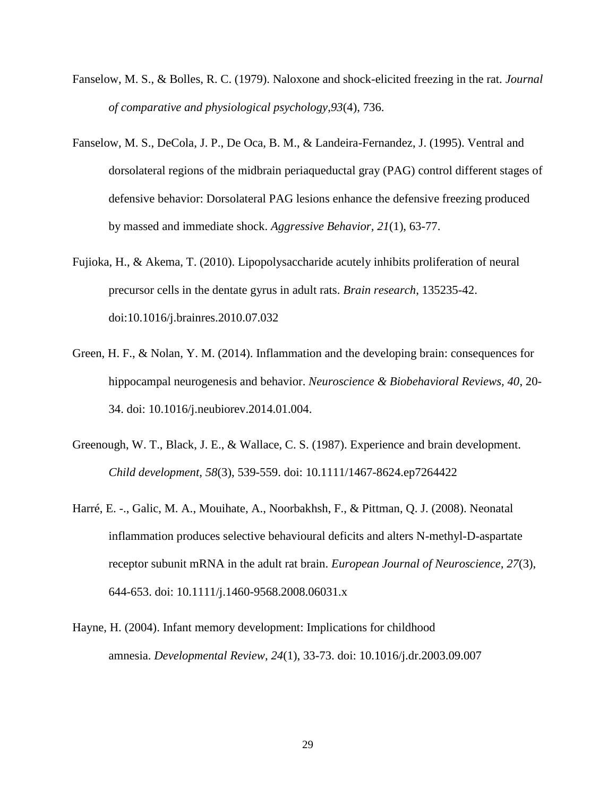- Fanselow, M. S., & Bolles, R. C. (1979). Naloxone and shock-elicited freezing in the rat. *Journal of comparative and physiological psychology*,*93*(4), 736.
- Fanselow, M. S., DeCola, J. P., De Oca, B. M., & Landeira-Fernandez, J. (1995). Ventral and dorsolateral regions of the midbrain periaqueductal gray (PAG) control different stages of defensive behavior: Dorsolateral PAG lesions enhance the defensive freezing produced by massed and immediate shock. *Aggressive Behavior, 21*(1), 63-77.
- Fujioka, H., & Akema, T. (2010). Lipopolysaccharide acutely inhibits proliferation of neural precursor cells in the dentate gyrus in adult rats. *Brain research*, 135235-42. doi:10.1016/j.brainres.2010.07.032
- Green, H. F., & Nolan, Y. M. (2014). Inflammation and the developing brain: consequences for hippocampal neurogenesis and behavior. *Neuroscience & Biobehavioral Reviews, 40*, 20- 34. doi: 10.1016/j.neubiorev.2014.01.004.
- Greenough, W. T., Black, J. E., & Wallace, C. S. (1987). Experience and brain development. *Child development, 58*(3), 539-559. doi: 10.1111/1467-8624.ep7264422
- Harré, E. -., Galic, M. A., Mouihate, A., Noorbakhsh, F., & Pittman, Q. J. (2008). Neonatal inflammation produces selective behavioural deficits and alters N-methyl-D-aspartate receptor subunit mRNA in the adult rat brain. *European Journal of Neuroscience, 27*(3), 644-653. doi: 10.1111/j.1460-9568.2008.06031.x
- Hayne, H. (2004). Infant memory development: Implications for childhood amnesia. *Developmental Review*, *24*(1), 33-73. doi: 10.1016/j.dr.2003.09.007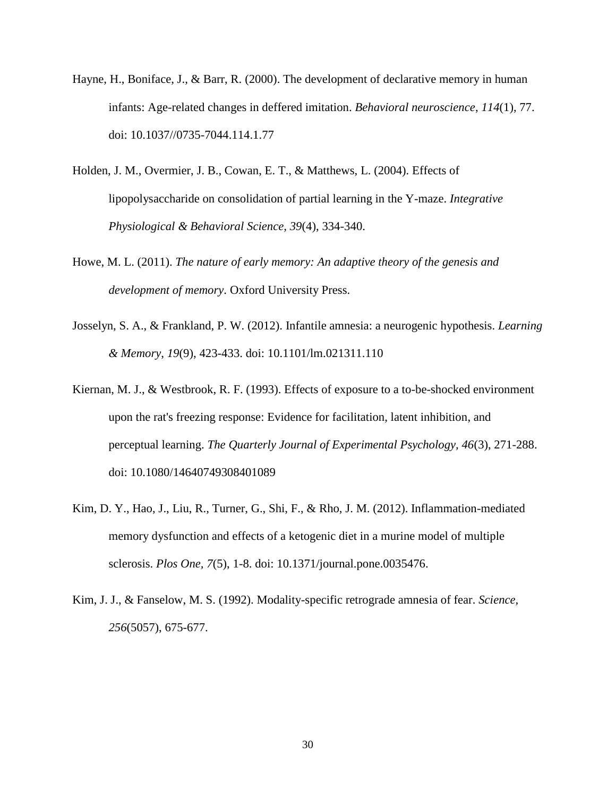- Hayne, H., Boniface, J., & Barr, R. (2000). The development of declarative memory in human infants: Age-related changes in deffered imitation. *Behavioral neuroscience*, *114*(1), 77. doi: 10.1037//0735-7044.114.1.77
- Holden, J. M., Overmier, J. B., Cowan, E. T., & Matthews, L. (2004). Effects of lipopolysaccharide on consolidation of partial learning in the Y-maze. *Integrative Physiological & Behavioral Science, 39*(4), 334-340.
- Howe, M. L. (2011). *The nature of early memory: An adaptive theory of the genesis and development of memory*. Oxford University Press.
- Josselyn, S. A., & Frankland, P. W. (2012). Infantile amnesia: a neurogenic hypothesis. *Learning & Memory*, *19*(9), 423-433. doi: 10.1101/lm.021311.110
- Kiernan, M. J., & Westbrook, R. F. (1993). Effects of exposure to a to-be-shocked environment upon the rat's freezing response: Evidence for facilitation, latent inhibition, and perceptual learning. *The Quarterly Journal of Experimental Psychology, 46*(3), 271-288. doi: 10.1080/14640749308401089
- Kim, D. Y., Hao, J., Liu, R., Turner, G., Shi, F., & Rho, J. M. (2012). Inflammation-mediated memory dysfunction and effects of a ketogenic diet in a murine model of multiple sclerosis. *Plos One, 7*(5), 1-8. doi: 10.1371/journal.pone.0035476.
- Kim, J. J., & Fanselow, M. S. (1992). Modality-specific retrograde amnesia of fear. *Science, 256*(5057), 675-677.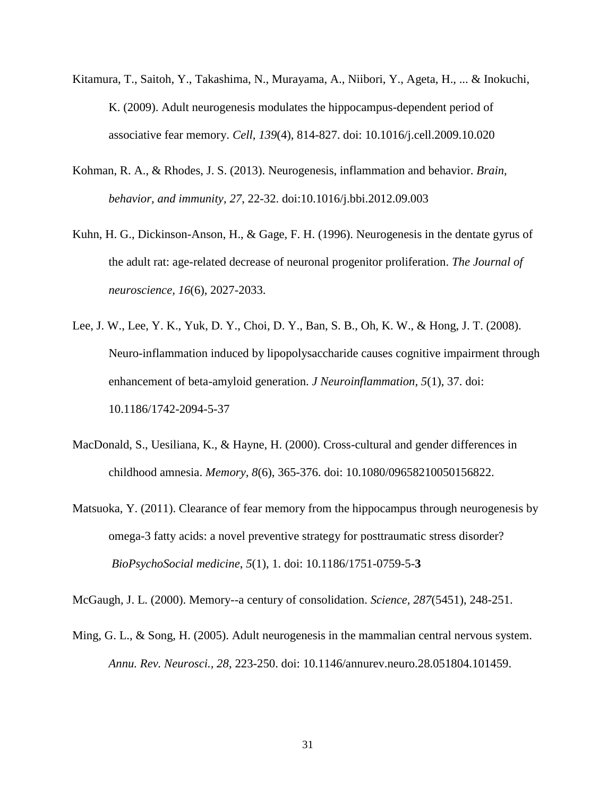- Kitamura, T., Saitoh, Y., Takashima, N., Murayama, A., Niibori, Y., Ageta, H., ... & Inokuchi, K. (2009). Adult neurogenesis modulates the hippocampus-dependent period of associative fear memory. *Cell, 139*(4), 814-827. doi: 10.1016/j.cell.2009.10.020
- Kohman, R. A., & Rhodes, J. S. (2013). Neurogenesis, inflammation and behavior. *Brain, behavior, and immunity*, *27*, 22-32. doi:10.1016/j.bbi.2012.09.003
- Kuhn, H. G., Dickinson-Anson, H., & Gage, F. H. (1996). Neurogenesis in the dentate gyrus of the adult rat: age-related decrease of neuronal progenitor proliferation. *The Journal of neuroscience, 16*(6), 2027-2033.
- Lee, J. W., Lee, Y. K., Yuk, D. Y., Choi, D. Y., Ban, S. B., Oh, K. W., & Hong, J. T. (2008). Neuro-inflammation induced by lipopolysaccharide causes cognitive impairment through enhancement of beta-amyloid generation. *J Neuroinflammation, 5*(1), 37. doi: 10.1186/1742-2094-5-37
- MacDonald, S., Uesiliana, K., & Hayne, H. (2000). Cross-cultural and gender differences in childhood amnesia. *Memory, 8*(6), 365-376. doi: 10.1080/09658210050156822.
- Matsuoka, Y. (2011). Clearance of fear memory from the hippocampus through neurogenesis by omega-3 fatty acids: a novel preventive strategy for posttraumatic stress disorder? *BioPsychoSocial medicine*, *5*(1), 1. doi: 10.1186/1751-0759-5-**3**

McGaugh, J. L. (2000). Memory--a century of consolidation. *Science, 287*(5451), 248-251.

Ming, G. L., & Song, H. (2005). Adult neurogenesis in the mammalian central nervous system. *Annu. Rev. Neurosci., 28*, 223-250. doi: 10.1146/annurev.neuro.28.051804.101459.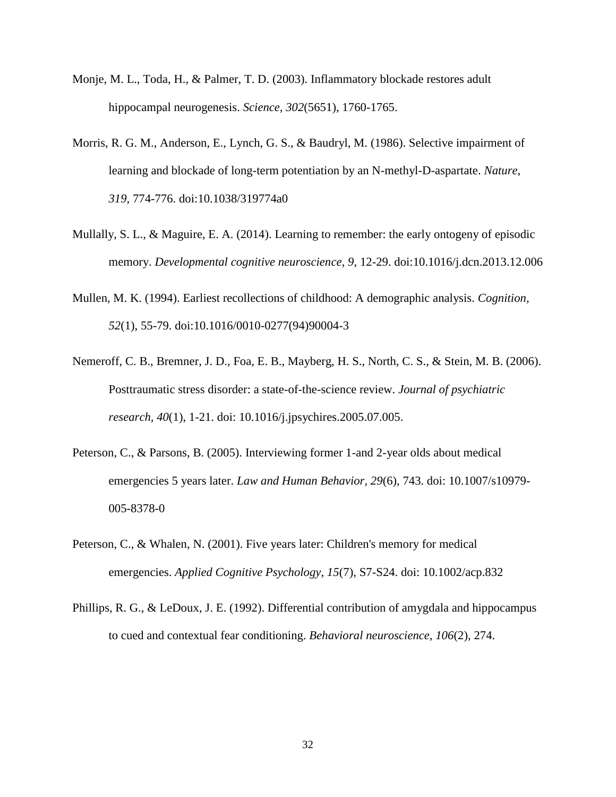- Monje, M. L., Toda, H., & Palmer, T. D. (2003). Inflammatory blockade restores adult hippocampal neurogenesis. *Science, 302*(5651), 1760-1765.
- Morris, R. G. M., Anderson, E., Lynch, G. S., & Baudryl, M. (1986). Selective impairment of learning and blockade of long-term potentiation by an N-methyl-D-aspartate. *Nature, 319*, 774-776. doi:10.1038/319774a0
- Mullally, S. L., & Maguire, E. A. (2014). Learning to remember: the early ontogeny of episodic memory. *Developmental cognitive neuroscience*, *9*, 12-29. doi:10.1016/j.dcn.2013.12.006
- Mullen, M. K. (1994). Earliest recollections of childhood: A demographic analysis. *Cognition, 52*(1), 55-79. doi:10.1016/0010-0277(94)90004-3
- Nemeroff, C. B., Bremner, J. D., Foa, E. B., Mayberg, H. S., North, C. S., & Stein, M. B. (2006). Posttraumatic stress disorder: a state-of-the-science review. *Journal of psychiatric research, 40*(1), 1-21. doi: 10.1016/j.jpsychires.2005.07.005.
- Peterson, C., & Parsons, B. (2005). Interviewing former 1-and 2-year olds about medical emergencies 5 years later. *Law and Human Behavior, 29*(6), 743. doi: 10.1007/s10979- 005-8378-0
- Peterson, C., & Whalen, N. (2001). Five years later: Children's memory for medical emergencies. *Applied Cognitive Psychology, 15*(7), S7-S24. doi: 10.1002/acp.832
- Phillips, R. G., & LeDoux, J. E. (1992). Differential contribution of amygdala and hippocampus to cued and contextual fear conditioning. *Behavioral neuroscience*, *106*(2), 274.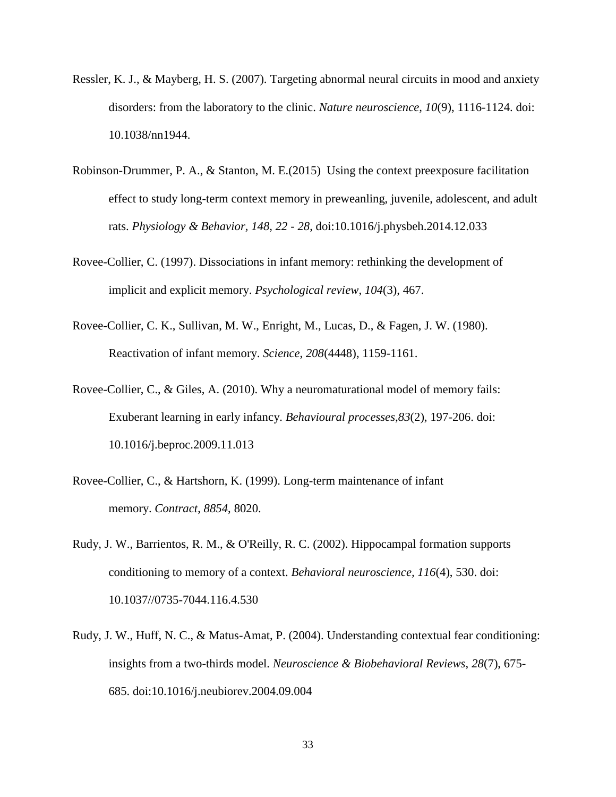- Ressler, K. J., & Mayberg, H. S. (2007). Targeting abnormal neural circuits in mood and anxiety disorders: from the laboratory to the clinic. *Nature neuroscience, 10*(9), 1116-1124. doi: 10.1038/nn1944.
- Robinson-Drummer, P. A., & Stanton, M. E.(2015) Using the context preexposure facilitation effect to study long-term context memory in preweanling, juvenile, adolescent, and adult rats. *Physiology & Behavior, 148, 22 - 28*, doi:10.1016/j.physbeh.2014.12.033
- Rovee-Collier, C. (1997). Dissociations in infant memory: rethinking the development of implicit and explicit memory. *Psychological review*, *104*(3), 467.
- Rovee-Collier, C. K., Sullivan, M. W., Enright, M., Lucas, D., & Fagen, J. W. (1980). Reactivation of infant memory. *Science*, *208*(4448), 1159-1161.
- Rovee-Collier, C., & Giles, A. (2010). Why a neuromaturational model of memory fails: Exuberant learning in early infancy. *Behavioural processes*,*83*(2), 197-206. doi: 10.1016/j.beproc.2009.11.013
- Rovee-Collier, C., & Hartshorn, K. (1999). Long-term maintenance of infant memory. *Contract*, *8854*, 8020.
- Rudy, J. W., Barrientos, R. M., & O'Reilly, R. C. (2002). Hippocampal formation supports conditioning to memory of a context. *Behavioral neuroscience, 116*(4), 530. doi: 10.1037//0735-7044.116.4.530
- Rudy, J. W., Huff, N. C., & Matus-Amat, P. (2004). Understanding contextual fear conditioning: insights from a two-thirds model. *Neuroscience & Biobehavioral Reviews*, *28*(7), 675- 685. doi:10.1016/j.neubiorev.2004.09.004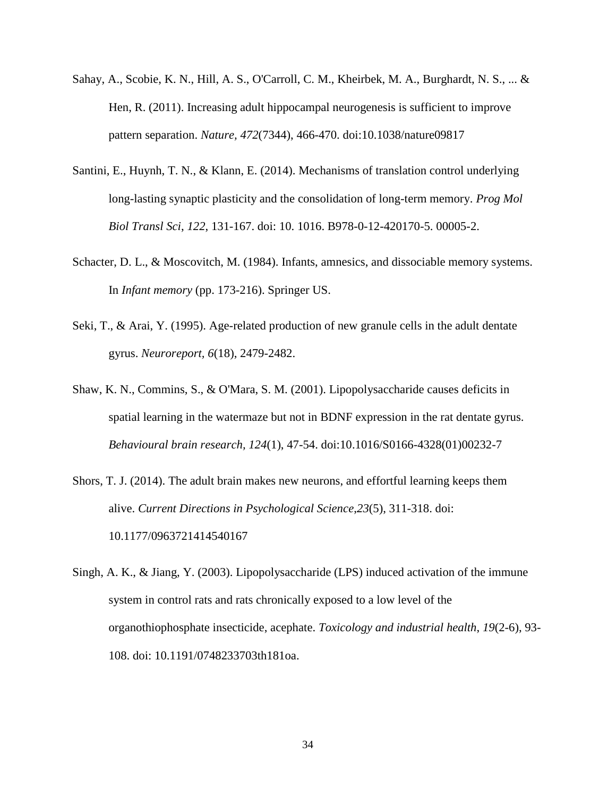- Sahay, A., Scobie, K. N., Hill, A. S., O'Carroll, C. M., Kheirbek, M. A., Burghardt, N. S., ... & Hen, R. (2011). Increasing adult hippocampal neurogenesis is sufficient to improve pattern separation. *Nature, 472*(7344), 466-470. doi:10.1038/nature09817
- Santini, E., Huynh, T. N., & Klann, E. (2014). Mechanisms of translation control underlying long-lasting synaptic plasticity and the consolidation of long-term memory. *Prog Mol Biol Transl Sci*, *122*, 131-167. doi: 10. 1016. B978-0-12-420170-5. 00005-2.
- Schacter, D. L., & Moscovitch, M. (1984). Infants, amnesics, and dissociable memory systems. In *Infant memory* (pp. 173-216). Springer US.
- Seki, T., & Arai, Y. (1995). Age-related production of new granule cells in the adult dentate gyrus. *Neuroreport, 6*(18), 2479-2482.
- Shaw, K. N., Commins, S., & O'Mara, S. M. (2001). Lipopolysaccharide causes deficits in spatial learning in the watermaze but not in BDNF expression in the rat dentate gyrus. *Behavioural brain research, 124*(1), 47-54. doi:10.1016/S0166-4328(01)00232-7
- Shors, T. J. (2014). The adult brain makes new neurons, and effortful learning keeps them alive. *Current Directions in Psychological Science*,*23*(5), 311-318. doi: 10.1177/0963721414540167
- Singh, A. K., & Jiang, Y. (2003). Lipopolysaccharide (LPS) induced activation of the immune system in control rats and rats chronically exposed to a low level of the organothiophosphate insecticide, acephate. *Toxicology and industrial health*, *19*(2-6), 93- 108. doi: 10.1191/0748233703th181oa.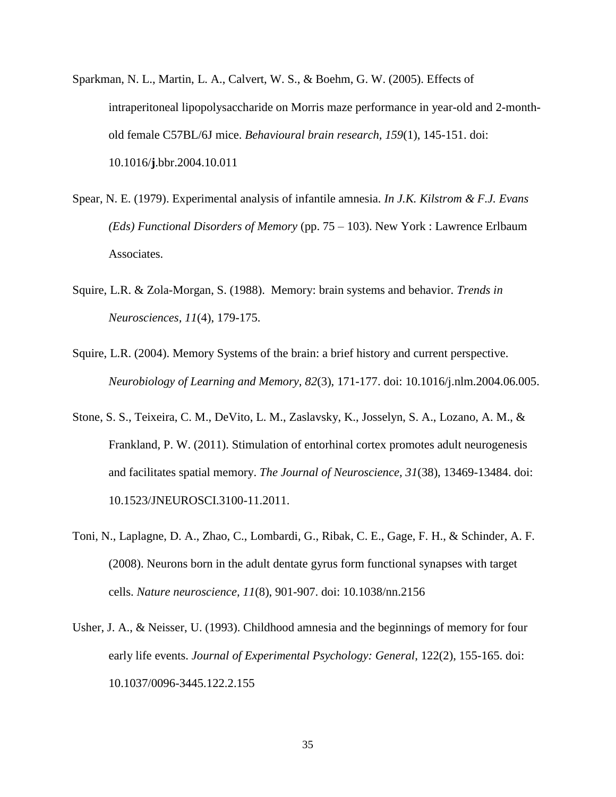- Sparkman, N. L., Martin, L. A., Calvert, W. S., & Boehm, G. W. (2005). Effects of intraperitoneal lipopolysaccharide on Morris maze performance in year-old and 2-monthold female C57BL/6J mice. *Behavioural brain research, 159*(1), 145-151. doi: 10.1016/**j**.bbr.2004.10.011
- Spear, N. E. (1979). Experimental analysis of infantile amnesia. *In J.K. Kilstrom & F.J. Evans (Eds) Functional Disorders of Memory* (pp. 75 – 103). New York : Lawrence Erlbaum Associates.
- Squire, L.R. & Zola-Morgan, S. (1988). Memory: brain systems and behavior. *Trends in Neurosciences, 11*(4), 179-175.
- Squire, L.R. (2004). Memory Systems of the brain: a brief history and current perspective. *Neurobiology of Learning and Memory, 82*(3), 171-177. doi: 10.1016/j.nlm.2004.06.005.
- Stone, S. S., Teixeira, C. M., DeVito, L. M., Zaslavsky, K., Josselyn, S. A., Lozano, A. M., & Frankland, P. W. (2011). Stimulation of entorhinal cortex promotes adult neurogenesis and facilitates spatial memory. *The Journal of Neuroscience, 31*(38), 13469-13484. doi: 10.1523/JNEUROSCI.3100-11.2011.
- Toni, N., Laplagne, D. A., Zhao, C., Lombardi, G., Ribak, C. E., Gage, F. H., & Schinder, A. F. (2008). Neurons born in the adult dentate gyrus form functional synapses with target cells. *Nature neuroscience, 11*(8), 901-907. doi: 10.1038/nn.2156
- Usher, J. A., & Neisser, U. (1993). Childhood amnesia and the beginnings of memory for four early life events. *Journal of Experimental Psychology: General*, 122(2), 155-165. doi: 10.1037/0096-3445.122.2.155